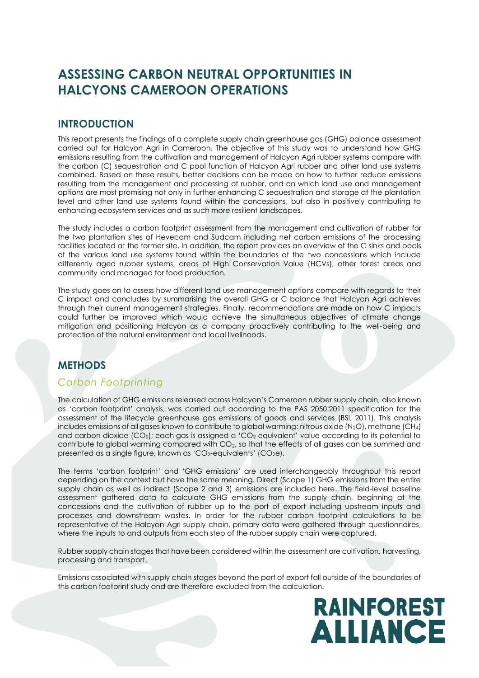# **ASSESSING CARBON NEUTRAL OPPORTUNITIES IN HALCYONS CAMEROON OPERATIONS**

# **INTRODUCTION**

This report presents the findings of a complete supply chain greenhouse gas (GHG) balance assessment carried out for Halcyon Agri in Cameroon. The objective of this study was to understand how GHG emissions resulting from the cultivation and management of Halcyon Agri rubber systems compare with the carbon (C) sequestration and C pool function of Halcyon Agri rubber and other land use systems combined. Based on these results, better decisions can be made on how to further reduce emissions resulting from the management and processing of rubber, and on which land use and management options are most promising not only in further enhancing C sequestration and storage at the plantation level and other land use systems found within the concessions, but also in positively contributing to enhancing ecosystem services and as such more resilient landscapes.

The study includes a carbon footprint assessment from the management and cultivation of rubber for the two plantation sites of Hevecam and Sudcam including net carbon emissions of the processing facilities located at the former site. In addition, the report provides an overview of the C sinks and pools of the various land use systems found within the boundaries of the two concessions which include differently aged rubber systems, areas of High Conservation Value (HCVs), other forest areas and community land managed for food production.

The study goes on to assess how different land use management options compare with regards to their C impact and concludes by summarising the overall GHG or C balance that Halcyon Agri achieves through their current management strategies. Finally, recommendations are made on how C impacts could further be improved which would achieve the simultaneous objectives of climate change mitigation and positioning Halcyon as a company proactively contributing to the well-being and protection of the natural environment and local livelihoods.

# **METHODS**

### *Carbon Footprinting*

The calculation of GHG emissions released across Halcyon's Cameroon rubber supply chain, also known as 'carbon footprint' analysis, was carried out according to the PAS 2050:2011 specification for the assessment of the lifecycle greenhouse gas emissions of goods and services (BSI, 2011). This analysis includes emissions of all gases known to contribute to global warming: nitrous oxide (N<sub>2</sub>O), methane (CH<sub>4</sub>) and carbon dioxide (CO<sub>2</sub>); each gas is assigned a 'CO<sub>2</sub> equivalent' value according to its potential to contribute to global warming compared with CO2, so that the effects of all gases can be summed and presented as a single figure, known as 'CO<sub>2</sub>-equivalents' (CO<sub>2</sub>e).

The terms 'carbon footprint' and 'GHG emissions' are used interchangeably throughout this report depending on the context but have the same meaning. Direct (Scope 1) GHG emissions from the entire supply chain as well as indirect (Scope 2 and 3) emissions are included here. The field-level baseline assessment gathered data to calculate GHG emissions from the supply chain, beginning at the concessions and the cultivation of rubber up to the port of export including upstream inputs and processes and downstream wastes. In order for the rubber carbon footprint calculations to be representative of the Halcyon Agri supply chain, primary data were gathered through questionnaires, where the inputs to and outputs from each step of the rubber supply chain were captured.

Rubber supply chain stages that have been considered within the assessment are cultivation, harvesting, processing and transport.

Emissions associated with supply chain stages beyond the port of export fall outside of the boundaries of this carbon footprint study and are therefore excluded from the calculation.

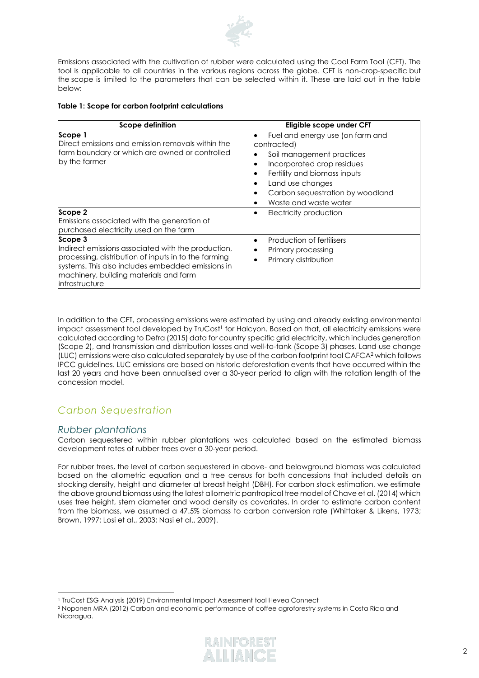

Emissions associated with the cultivation of rubber were calculated using the Cool Farm Tool (CFT). The tool is applicable to all countries in the various regions across the globe. CFT is non-crop-specific but the scope is limited to the parameters that can be selected within it. These are laid out in the table below:

#### **Table 1: Scope for carbon footprint calculations**

| Scope definition                                                                                                                                                                                                                       | Eligible scope under CFT                                                                                                                                                                                                                                                                                  |  |  |  |
|----------------------------------------------------------------------------------------------------------------------------------------------------------------------------------------------------------------------------------------|-----------------------------------------------------------------------------------------------------------------------------------------------------------------------------------------------------------------------------------------------------------------------------------------------------------|--|--|--|
| Scope 1<br>Direct emissions and emission removals within the<br>farm boundary or which are owned or controlled<br>by the farmer                                                                                                        | Fuel and energy use (on farm and<br>$\bullet$<br>contracted)<br>Soil management practices<br>Incorporated crop residues<br>$\bullet$<br>Fertility and biomass inputs<br>$\bullet$<br>Land use changes<br>$\bullet$<br>Carbon sequestration by woodland<br>$\bullet$<br>Waste and waste water<br>$\bullet$ |  |  |  |
| Scope 2<br>Emissions associated with the generation of<br>purchased electricity used on the farm                                                                                                                                       | Electricity production<br>$\bullet$                                                                                                                                                                                                                                                                       |  |  |  |
| Scope 3<br>Indirect emissions associated with the production,<br>processing, distribution of inputs in to the farming<br>systems. This also includes embedded emissions in<br>machinery, building materials and farm<br>infrastructure | Production of fertilisers<br>$\bullet$<br>Primary processing<br>Primary distribution                                                                                                                                                                                                                      |  |  |  |

In addition to the CFT, processing emissions were estimated by using and already existing environmental impact assessment tool developed by TruCost<sup>1</sup> for Halcyon. Based on that, all electricity emissions were calculated according to Defra (2015) data for country specific grid electricity, which includes generation (Scope 2), and transmission and distribution losses and well-to-tank (Scope 3) phases. Land use change (LUC) emissions were also calculated separately by use of the carbon footprint tool CAFCA<sup>2</sup> which follows IPCC guidelines. LUC emissions are based on historic deforestation events that have occurred within the last 20 years and have been annualised over a 30-year period to align with the rotation length of the concession model.

# *Carbon Sequestration*

### *Rubber plantations*

Carbon sequestered within rubber plantations was calculated based on the estimated biomass development rates of rubber trees over a 30-year period.

For rubber trees, the level of carbon sequestered in above- and belowground biomass was calculated based on the allometric equation and a tree census for both concessions that included details on stocking density, height and diameter at breast height (DBH). For carbon stock estimation, we estimate the above ground biomass using the latest allometric pantropical tree model of Chave et al. (2014) which uses tree height, stem diameter and wood density as covariates. In order to estimate carbon content from the biomass, we assumed a 47.5% biomass to carbon conversion rate (Whittaker & Likens, 1973; Brown, 1997; Losi et al., 2003; Nasi et al., 2009).

<sup>2</sup> Noponen MRA (2012) Carbon and economic performance of coffee agroforestry systems in Costa Rica and Nicaragua.



<sup>1</sup> TruCost ESG Analysis (2019) Environmental Impact Assessment tool Hevea Connect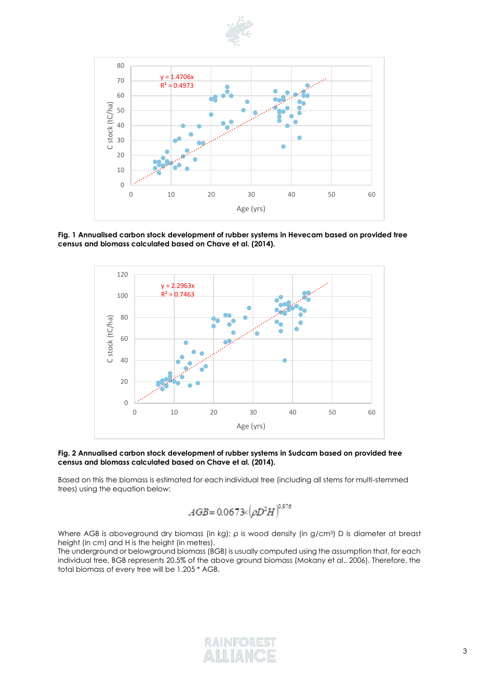



**Fig. 1 Annualised carbon stock development of rubber systems in Hevecam based on provided tree census and biomass calculated based on Chave et al. (2014).**



#### **Fig. 2 Annualised carbon stock development of rubber systems in Sudcam based on provided tree census and biomass calculated based on Chave et al. (2014).**

Based on this the biomass is estimated for each individual tree (including all stems for multi-stemmed trees) using the equation below:

$$
AGB\!=\!0.0673\!\!\times\!\!\left(\!\rho D^2H\right)^{\!0.976}
$$

Where AGB is aboveground dry biomass (in kg); ρ is wood density (in g/cm<sup>3</sup>) D is diameter at breast height (in cm) and H is the height (in metres).

The underground or belowground biomass (BGB) is usually computed using the assumption that, for each individual tree, BGB represents 20.5% of the above ground biomass (Mokany et al., 2006). Therefore, the total biomass of every tree will be 1.205 \* AGB.

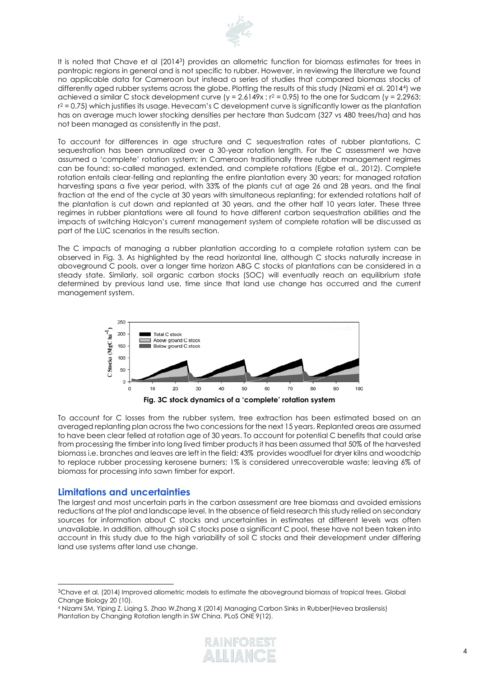

It is noted that Chave et al (2014<sup>3</sup> ) provides an allometric function for biomass estimates for trees in pantropic regions in general and is not specific to rubber. However, in reviewing the literature we found no applicable data for Cameroon but instead a series of studies that compared biomass stocks of differently aged rubber systems across the globe. Plotting the results of this study (Nizami et al. 2014<sup>4</sup> ) we achieved a similar C stock development curve  $(y = 2.6149x : r^2 = 0.95)$  to the one for Sudcam  $(y = 2.2963; r^2 = 0.95)$  $r^2$  = 0.75) which justifies its usage. Hevecam's C development curve is significantly lower as the plantation has on average much lower stocking densities per hectare than Sudcam (327 vs 480 trees/ha) and has not been managed as consistently in the past.

To account for differences in age structure and C sequestration rates of rubber plantations, C sequestration has been annualized over a 30-year rotation length. For the C assessment we have assumed a 'complete' rotation system; in Cameroon traditionally three rubber management regimes can be found: so-called managed, extended, and complete rotations (Egbe et al., 2012). Complete rotation entails clear-felling and replanting the entire plantation every 30 years; for managed rotation harvesting spans a five year period, with 33% of the plants cut at age 26 and 28 years, and the final fraction at the end of the cycle at 30 years with simultaneous replanting; for extended rotations half of the plantation is cut down and replanted at 30 years, and the other half 10 years later. These three regimes in rubber plantations were all found to have different carbon sequestration abilities and the impacts of switching Halcyon's current management system of complete rotation will be discussed as part of the LUC scenarios in the results section.

The C impacts of managing a rubber plantation according to a complete rotation system can be observed in Fig. 3. As highlighted by the read horizontal line, although C stocks naturally increase in aboveground C pools, over a longer time horizon ABG C stocks of plantations can be considered in a steady state. Similarly, soil organic carbon stocks (SOC) will eventually reach an equilibrium state determined by previous land use, time since that land use change has occurred and the current management system.



To account for C losses from the rubber system, tree extraction has been estimated based on an averaged replanting plan across the two concessions for the next 15 years. Replanted areas are assumed to have been clear felled at rotation age of 30 years. To account for potential C benefits that could arise from processing the timber into long lived timber products it has been assumed that 50% of the harvested biomass i.e. branches and leaves are left in the field; 43% provides woodfuel for dryer kilns and woodchip to replace rubber processing kerosene burners; 1% is considered unrecoverable waste; leaving 6% of biomass for processing into sawn timber for export.

### **Limitations and uncertainties**

The largest and most uncertain parts in the carbon assessment are tree biomass and avoided emissions reductions at the plot and landscape level. In the absence of field research this study relied on secondary sources for information about C stocks and uncertainties in estimates at different levels was often unavailable. In addition, although soil C stocks pose a significant C pool, these have not been taken into account in this study due to the high variability of soil C stocks and their development under differing land use systems after land use change.

<sup>4</sup> Nizami SM, Yiping Z, Liqing S, Zhao W,Zhang X (2014) Managing Carbon Sinks in Rubber(Hevea brasilensis) Plantation by Changing Rotation length in SW China. PLoS ONE 9(12).



<sup>&</sup>lt;sup>3</sup>Chave et al. (2014) Improved allometric models to estimate the aboveground biomass of tropical trees. Global Change Biology 20 (10).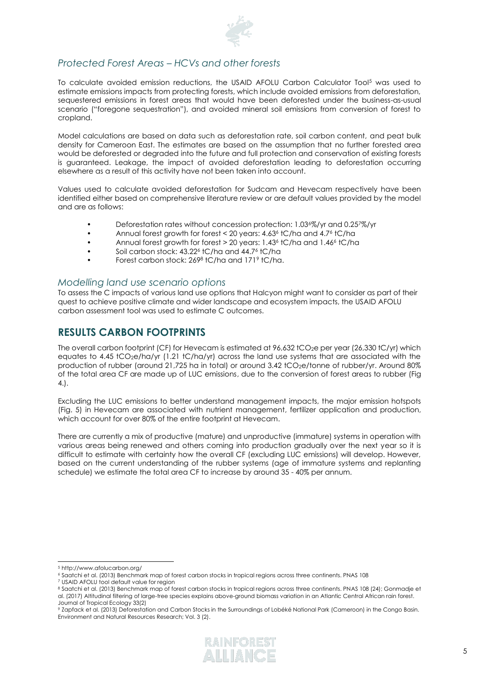

# *Protected Forest Areas – HCVs and other forests*

To calculate avoided emission reductions, the USAID AFOLU Carbon Calculator Tool<sup>5</sup> was used to estimate emissions impacts from protecting forests, which include avoided emissions from deforestation, sequestered emissions in forest areas that would have been deforested under the business-as-usual scenario ("foregone sequestration"), and avoided mineral soil emissions from conversion of forest to cropland.

Model calculations are based on data such as deforestation rate, soil carbon content, and peat bulk density for Cameroon East. The estimates are based on the assumption that no further forested area would be deforested or degraded into the future and full protection and conservation of existing forests is guaranteed. Leakage, the impact of avoided deforestation leading to deforestation occurring elsewhere as a result of this activity have not been taken into account.

Values used to calculate avoided deforestation for Sudcam and Hevecam respectively have been identified either based on comprehensive literature review or are default values provided by the model and are as follows:

- Deforestation rates without concession protection: 1.03<sup>6</sup>%/yr and 0.25<sup>7</sup>%/yr
- Annual forest growth for forest < 20 years: 4.63<sup>6</sup> tC/ha and 4.7<sup>6</sup> tC/ha
- Annual forest growth for forest > 20 years: 1.43<sup>6</sup> tC/ha and 1.46<sup>6</sup> tC/ha
- Soil carbon stock: 43.22<sup>6</sup> tC/ha and 44.7<sup>6</sup> tC/ha
- Forest carbon stock: 269<sup>8</sup> tC/ha and 171<sup>9</sup> tC/ha.

### *Modelling land use scenario options*

To assess the C impacts of various land use options that Halcyon might want to consider as part of their quest to achieve positive climate and wider landscape and ecosystem impacts, the USAID AFOLU carbon assessment tool was used to estimate C outcomes.

# **RESULTS CARBON FOOTPRINTS**

The overall carbon footprint (CF) for Hevecam is estimated at 96,632 tCO<sub>2</sub>e per year (26,330 tC/yr) which equates to 4.45 tCO<sub>2</sub>e/ha/yr (1.21 tC/ha/yr) across the land use systems that are associated with the production of rubber (around 21,725 ha in total) or around 3.42 tCO<sub>2</sub>e/tonne of rubber/yr. Around 80% of the total area CF are made up of LUC emissions, due to the conversion of forest areas to rubber (Fig 4.).

Excluding the LUC emissions to better understand management impacts, the major emission hotspots (Fig. 5) in Hevecam are associated with nutrient management, fertilizer application and production, which account for over 80% of the entire footprint at Hevecam.

There are currently a mix of productive (mature) and unproductive (immature) systems in operation with various areas being renewed and others coming into production gradually over the next year so it is difficult to estimate with certainty how the overall CF (excluding LUC emissions) will develop. However, based on the current understanding of the rubber systems (age of immature systems and replanting schedule) we estimate the total area CF to increase by around 35 - 40% per annum.

<sup>9</sup> Zapfack et al. (2013) Deforestation and Carbon Stocks in the Surroundings of Lobéké National Park (Cameroon) in the Congo Basin. Environment and Natural Resources Research; Vol. 3 (2).



<sup>5</sup> http://www.afolucarbon.org/

<sup>6</sup> Saatchi et al. (2013) Benchmark map of forest carbon stocks in tropical regions across three continents. PNAS 108 <sup>7</sup> USAID AFOLU tool default value for region

<sup>8</sup> Saatchi et al. (2013) Benchmark map of forest carbon stocks in tropical regions across three continents. PNAS 108 (24); Gonmadje et al. (2017) Altitudinal filtering of large-tree species explains above-ground biomass variation in an Atlantic Central African rain forest. Journal of Tropical Ecology 33(2)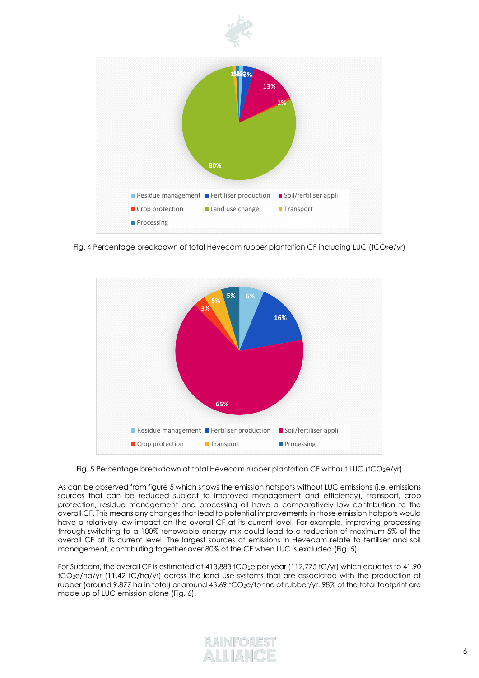



Fig. 4 Percentage breakdown of total Hevecam rubber plantation CF including LUC (tCO<sub>2</sub>e/yr)



Fig. 5 Percentage breakdown of total Hevecam rubber plantation CF without LUC (tCO<sub>2</sub>e/yr)

As can be observed from figure 5 which shows the emission hotspots without LUC emissions (i.e. emissions sources that can be reduced subject to improved management and efficiency), transport, crop protection, residue management and processing all have a comparatively low contribution to the overall CF. This means any changes that lead to potential improvements in those emission hotspots would have a relatively low impact on the overall CF at its current level. For example, improving processing through switching to a 100% renewable energy mix could lead to a reduction of maximum 5% of the overall CF at its current level. The largest sources of emissions in Hevecam relate to fertiliser and soil management, contributing together over 80% of the CF when LUC is excluded (Fig. 5).

For Sudcam, the overall CF is estimated at 413,883 tCO<sub>2</sub>e per year (112,775 tC/yr) which equates to 41.90 tCO2e/ha/yr (11.42 tC/ha/yr) across the land use systems that are associated with the production of rubber (around 9,877 ha in total) or around 43.69 tCO<sub>2</sub>e/tonne of rubber/yr. 98% of the total footprint are made up of LUC emission alone (Fig. 6).

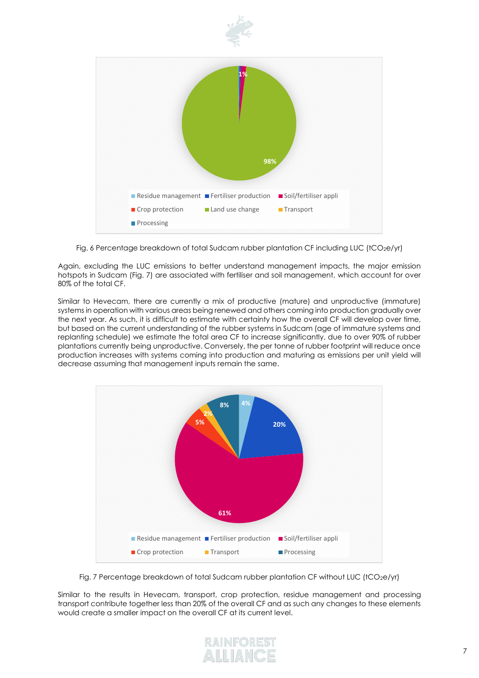

Fig. 6 Percentage breakdown of total Sudcam rubber plantation CF including LUC (tCO<sub>2</sub>e/yr)

Again, excluding the LUC emissions to better understand management impacts, the major emission hotspots in Sudcam (Fig. 7) are associated with fertiliser and soil management, which account for over 80% of the total CF.

Similar to Hevecam, there are currently a mix of productive (mature) and unproductive (immature) systems in operation with various areas being renewed and others coming into production gradually over the next year. As such, it is difficult to estimate with certainty how the overall CF will develop over time, but based on the current understanding of the rubber systems in Sudcam (age of immature systems and replanting schedule) we estimate the total area CF to increase significantly, due to over 90% of rubber plantations currently being unproductive. Conversely, the per tonne of rubber footprint will reduce once production increases with systems coming into production and maturing as emissions per unit yield will decrease assuming that management inputs remain the same.



Fig. 7 Percentage breakdown of total Sudcam rubber plantation CF without LUC (tCO<sub>2</sub>e/yr)

Similar to the results in Hevecam, transport, crop protection, residue management and processing transport contribute together less than 20% of the overall CF and as such any changes to these elements would create a smaller impact on the overall CF at its current level.

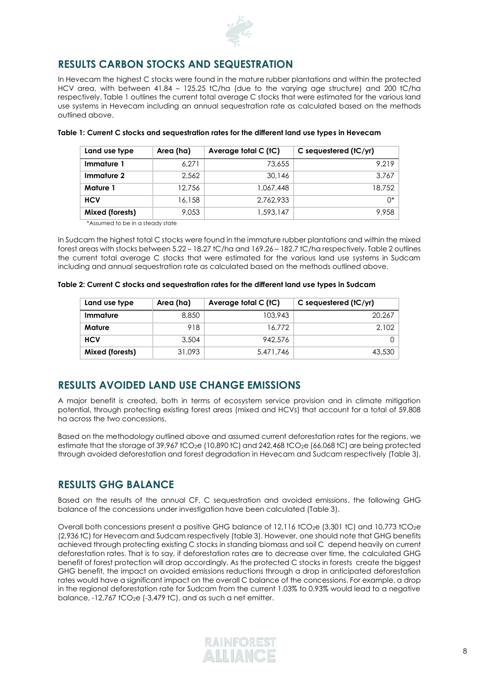

# **RESULTS CARBON STOCKS AND SEQUESTRATION**

In Hevecam the highest C stocks were found in the mature rubber plantations and within the protected HCV area, with between 41.84 – 125.25 tC/ha (due to the varying age structure) and 200 tC/ha respectively. Table 1 outlines the current total average C stocks that were estimated for the various land use systems in Hevecam including an annual sequestration rate as calculated based on the methods outlined above.

| Land use type   | Area (ha) | Average total C (tC) | C sequestered $(tC/yr)$ |
|-----------------|-----------|----------------------|-------------------------|
| Immature 1      | 6.271     | 73,655               | 9.219                   |
| Immature 2      | 2.562     | 30,146               | 3.767                   |
| <b>Mature 1</b> | 12.756    | 1,067,448            | 18,752                  |
| <b>HCV</b>      | 16,158    | 2.762.933            | $\bigcap^*$             |
| Mixed (forests) | 9.053     | 1,593,147            | 9.958                   |

#### **Table 1: Current C stocks and sequestration rates for the different land use types in Hevecam**

\*Assumed to be in a steady state

In Sudcam the highest total C stocks were found in the immature rubber plantations and within the mixed forest areas with stocks between 5.22 – 18.27 tC/ha and 169.26 – 182.7 tC/ha respectively. Table 2 outlines the current total average C stocks that were estimated for the various land use systems in Sudcam including and annual sequestration rate as calculated based on the methods outlined above.

|  | Table 2: Current C stocks and sequestration rates for the different land use types in Sudcam |  |  |
|--|----------------------------------------------------------------------------------------------|--|--|

| Land use type   | Area (ha) | Average total C (tC) | C sequestered $(tC/yr)$ |
|-----------------|-----------|----------------------|-------------------------|
| Immature        | 8,850     | 103,943              | 20,267                  |
| Mature          | 918       | 16.772               | 2.102                   |
| <b>HCV</b>      | 3,504     | 942.576              |                         |
| Mixed (forests) | 31,093    | 5,471,746            | 43,530                  |

# **RESULTS AVOIDED LAND USE CHANGE EMISSIONS**

A major benefit is created, both in terms of ecosystem service provision and in climate mitigation potential, through protecting existing forest areas (mixed and HCVs) that account for a total of 59,808 ha across the two concessions.

Based on the methodology outlined above and assumed current deforestation rates for the regions, we estimate that the storage of 39,967 tCO<sub>2</sub>e (10,890 tC) and 242,468 tCO<sub>2</sub>e (66,068 tC) are being protected through avoided deforestation and forest degradation in Hevecam and Sudcam respectively (Table 3).

# **RESULTS GHG BALANCE**

Based on the results of the annual CF, C sequestration and avoided emissions, the following GHG balance of the concessions under investigation have been calculated (Table 3).

Overall both concessions present a positive GHG balance of 12,116 tCO<sub>2</sub>e (3,301 tC) and 10.773 tCO<sub>2</sub>e (2,936 tC) for Hevecam and Sudcam respectively (table 3). However, one should note that GHG benefits achieved through protecting existing C stocks in standing biomass and soil C depend heavily on current deforestation rates. That is to say, if deforestation rates are to decrease over time, the calculated GHG benefit of forest protection will drop accordingly. As the protected C stocks in forests create the biggest GHG benefit, the impact on avoided emissions reductions through a drop in anticipated deforestation rates would have a significant impact on the overall C balance of the concessions. For example, a drop in the regional deforestation rate for Sudcam from the current 1.03% to 0.93% would lead to a negative balance,  $-12,767$  tCO<sub>2</sub>e  $(-3,479$  tC), and as such a net emitter.

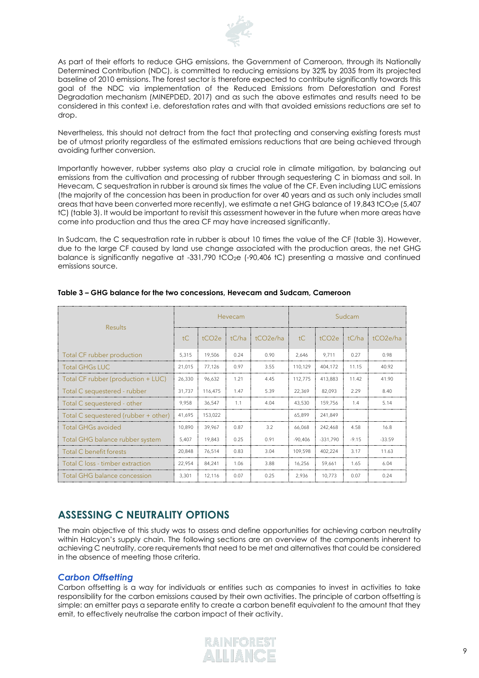

As part of their efforts to reduce GHG emissions, the Government of Cameroon, through its Nationally Determined Contribution (NDC), is committed to reducing emissions by 32% by 2035 from its projected baseline of 2010 emissions. The forest sector is therefore expected to contribute significantly towards this goal of the NDC via implementation of the Reduced Emissions from Deforestation and Forest Degradation mechanism (MINEPDED, 2017) and as such the above estimates and results need to be considered in this context i.e. deforestation rates and with that avoided emissions reductions are set to drop.

Nevertheless, this should not detract from the fact that protecting and conserving existing forests must be of utmost priority regardless of the estimated emissions reductions that are being achieved through avoiding further conversion.

Importantly however, rubber systems also play a crucial role in climate mitigation, by balancing out emissions from the cultivation and processing of rubber through sequestering C in biomass and soil. In Hevecam, C sequestration in rubber is around six times the value of the CF. Even including LUC emissions (the majority of the concession has been in production for over 40 years and as such only includes small areas that have been converted more recently), we estimate a net GHG balance of 19,843 tCO<sub>2</sub>e (5,407 tC) (table 3). It would be important to revisit this assessment however in the future when more areas have come into production and thus the area CF may have increased significantly.

In Sudcam, the C sequestration rate in rubber is about 10 times the value of the CF (table 3). However, due to the large CF caused by land use change associated with the production areas, the net GHG balance is significantly negative at -331,790 tCO<sub>2</sub>e (-90,406 tC) presenting a massive and continued emissions source.

|                                      | Hevecam |                   |       | Sudcam                |                |                   |         |                       |
|--------------------------------------|---------|-------------------|-------|-----------------------|----------------|-------------------|---------|-----------------------|
| <b>Results</b>                       | tC      | tCO <sub>2e</sub> | tC/ha | tCO <sub>2e</sub> /ha | $\mathsf{t}$ C | tCO <sub>2e</sub> | tC/ha   | tCO <sub>2</sub> e/ha |
| Total CF rubber production           | 5,315   | 19,506            | 0.24  | 0.90                  | 2,646          | 9,711             | 0.27    | 0.98                  |
| <b>Total GHGs LUC</b>                | 21,015  | 77,126            | 0.97  | 3.55                  | 110,129        | 404,172           | 11.15   | 40.92                 |
| Total CF rubber (production + LUC)   | 26,330  | 96,632            | 1.21  | 4.45                  | 112,775        | 413,883           | 11.42   | 41.90                 |
| Total C sequestered - rubber         | 31,737  | 116,475           | 1.47  | 5.39                  | 22,369         | 82,093            | 2.29    | 8.40                  |
| Total C sequestered - other          | 9,958   | 36,547            | 1.1   | 4.04                  | 43,530         | 159,756           | 1.4     | 5.14                  |
| Total C sequestered (rubber + other) | 41,695  | 153,022           |       |                       | 65,899         | 241,849           |         |                       |
| <b>Total GHGs avoided</b>            | 10,890  | 39,967            | 0.87  | 3.2                   | 66.068         | 242.468           | 4.58    | 16.8                  |
| Total GHG balance rubber system      | 5,407   | 19,843            | 0.25  | 0.91                  | $-90,406$      | $-331,790$        | $-9.15$ | $-33.59$              |
| Total C benefit forests              | 20,848  | 76,514            | 0.83  | 3.04                  | 109,598        | 402,224           | 3.17    | 11.63                 |
| Total C loss - timber extraction     | 22,954  | 84,241            | 1.06  | 3.88                  | 16,256         | 59.661            | 1.65    | 6.04                  |
| Total GHG balance concession         | 3,301   | 12,116            | 0.07  | 0.25                  | 2,936          | 10,773            | 0.07    | 0.24                  |

#### **Table 3 – GHG balance for the two concessions, Hevecam and Sudcam, Cameroon**

# **ASSESSING C NEUTRALITY OPTIONS**

The main objective of this study was to assess and define opportunities for achieving carbon neutrality within Halcyon's supply chain. The following sections are an overview of the components inherent to achieving C neutrality, core requirements that need to be met and alternatives that could be considered in the absence of meeting those criteria.

### *Carbon Offsetting*

Carbon offsetting is a way for individuals or entities such as companies to invest in activities to take responsibility for the carbon emissions caused by their own activities. The principle of carbon offsetting is simple: an emitter pays a separate entity to create a carbon benefit equivalent to the amount that they emit, to effectively neutralise the carbon impact of their activity.

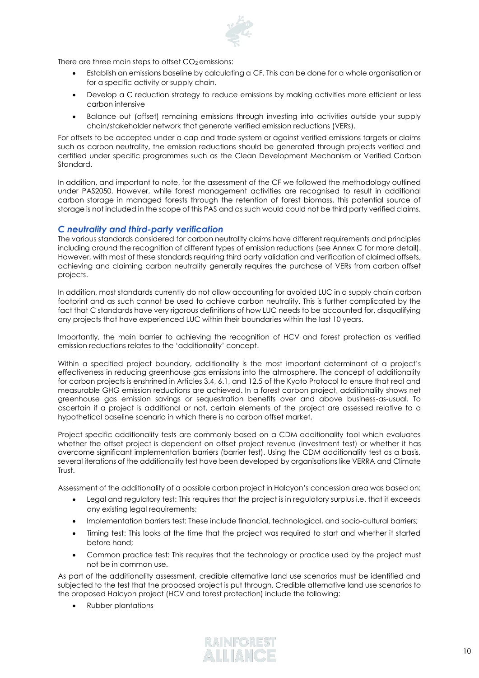There are three main steps to offset  $CO<sub>2</sub>$  emissions:

- Establish an emissions baseline by calculating a CF. This can be done for a whole organisation or for a specific activity or supply chain.
- Develop a C reduction strategy to reduce emissions by making activities more efficient or less carbon intensive
- Balance out (offset) remaining emissions through investing into activities outside your supply chain/stakeholder network that generate verified emission reductions (VERs).

For offsets to be accepted under a cap and trade system or against verified emissions targets or claims such as carbon neutrality, the emission reductions should be generated through projects verified and certified under specific programmes such as the Clean Development Mechanism or Verified Carbon Standard.

In addition, and important to note, for the assessment of the CF we followed the methodology outlined under PAS2050. However, while forest management activities are recognised to result in additional carbon storage in managed forests through the retention of forest biomass, this potential source of storage is not included in the scope of this PAS and as such would could not be third party verified claims.

### *C neutrality and third-party verification*

The various standards considered for carbon neutrality claims have different requirements and principles including around the recognition of different types of emission reductions (see Annex C for more detail). However, with most of these standards requiring third party validation and verification of claimed offsets, achieving and claiming carbon neutrality generally requires the purchase of VERs from carbon offset projects.

In addition, most standards currently do not allow accounting for avoided LUC in a supply chain carbon footprint and as such cannot be used to achieve carbon neutrality. This is further complicated by the fact that C standards have very rigorous definitions of how LUC needs to be accounted for, disqualifying any projects that have experienced LUC within their boundaries within the last 10 years.

Importantly, the main barrier to achieving the recognition of HCV and forest protection as verified emission reductions relates to the 'additionality' concept.

Within a specified project boundary, additionality is the most important determinant of a project's effectiveness in reducing greenhouse gas emissions into the atmosphere. The concept of additionality for carbon projects is enshrined in Articles 3.4, 6.1, and 12.5 of the Kyoto Protocol to ensure that real and measurable GHG emission reductions are achieved. In a forest carbon project, additionality shows net greenhouse gas emission savings or sequestration benefits over and above business-as-usual. To ascertain if a project is additional or not, certain elements of the project are assessed relative to a hypothetical baseline scenario in which there is no carbon offset market.

Project specific additionality tests are commonly based on a CDM additionality tool which evaluates whether the offset project is dependent on offset project revenue (investment test) or whether it has overcome significant implementation barriers (barrier test). Using the CDM additionality test as a basis, several iterations of the additionality test have been developed by organisations like VERRA and Climate Trust.

Assessment of the additionality of a possible carbon project in Halcyon's concession area was based on:

- Legal and regulatory test: This requires that the project is in regulatory surplus i.e. that it exceeds any existing legal requirements;
- Implementation barriers test: These include financial, technological, and socio-cultural barriers;
- Timing test: This looks at the time that the project was required to start and whether it started before hand;
- Common practice test: This requires that the technology or practice used by the project must not be in common use.

As part of the additionality assessment, credible alternative land use scenarios must be identified and subjected to the test that the proposed project is put through. Credible alternative land use scenarios to the proposed Halcyon project (HCV and forest protection) include the following:

• Rubber plantations

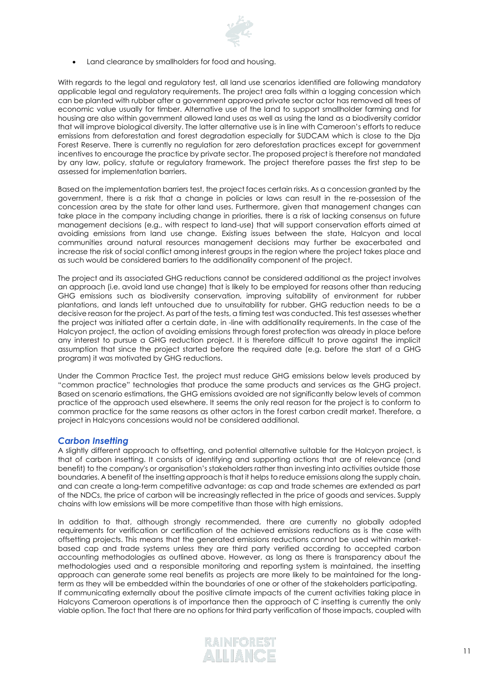

Land clearance by smallholders for food and housing.

With regards to the legal and regulatory test, all land use scenarios identified are following mandatory applicable legal and regulatory requirements. The project area falls within a logging concession which can be planted with rubber after a government approved private sector actor has removed all trees of economic value usually for timber. Alternative use of the land to support smallholder farming and for housing are also within government allowed land uses as well as using the land as a biodiversity corridor that will improve biological diversity. The latter alternative use is in line with Cameroon's efforts to reduce emissions from deforestation and forest degradation especially for SUDCAM which is close to the Dja Forest Reserve. There is currently no regulation for zero deforestation practices except for government incentives to encourage the practice by private sector. The proposed project is therefore not mandated by any law, policy, statute or regulatory framework. The project therefore passes the first step to be assessed for implementation barriers.

Based on the implementation barriers test, the project faces certain risks. As a concession granted by the government, there is a risk that a change in policies or laws can result in the re-possession of the concession area by the state for other land uses. Furthermore, given that management changes can take place in the company including change in priorities, there is a risk of lacking consensus on future management decisions (e.g., with respect to land-use) that will support conservation efforts aimed at avoiding emissions from land use change. Existing issues between the state, Halcyon and local communities around natural resources management decisions may further be exacerbated and increase the risk of social conflict among interest groups in the region where the project takes place and as such would be considered barriers to the additionality component of the project.

The project and its associated GHG reductions cannot be considered additional as the project involves an approach (i.e. avoid land use change) that is likely to be employed for reasons other than reducing GHG emissions such as biodiversity conservation, improving suitability of environment for rubber plantations, and lands left untouched due to unsuitability for rubber. GHG reduction needs to be a decisive reason for the project. As part of the tests, a timing test was conducted. This test assesses whether the project was initiated after a certain date, in -line with additionality requirements. In the case of the Halcyon project, the action of avoiding emissions through forest protection was already in place before any interest to pursue a GHG reduction project. It is therefore difficult to prove against the implicit assumption that since the project started before the required date (e.g. before the start of a GHG program) it was motivated by GHG reductions.

Under the Common Practice Test, the project must reduce GHG emissions below levels produced by "common practice" technologies that produce the same products and services as the GHG project. Based on scenario estimations, the GHG emissions avoided are not significantly below levels of common practice of the approach used elsewhere. It seems the only real reason for the project is to conform to common practice for the same reasons as other actors in the forest carbon credit market. Therefore, a project in Halcyons concessions would not be considered additional.

### *Carbon Insetting*

A slightly different approach to offsetting, and potential alternative suitable for the Halcyon project, is that of carbon insetting. It consists of identifying and supporting actions that are of relevance (and benefit) to the company's or organisation's stakeholders rather than investing into activities outside those boundaries. A benefit of the insetting approach is that it helps to reduce emissions along the supply chain, and can create a long‐term competitive advantage: as cap and trade schemes are extended as part of the NDCs, the price of carbon will be increasingly reflected in the price of goods and services. Supply chains with low emissions will be more competitive than those with high emissions.

In addition to that, although strongly recommended, there are currently no globally adopted requirements for verification or certification of the achieved emissions reductions as is the case with offsetting projects. This means that the generated emissions reductions cannot be used within marketbased cap and trade systems unless they are third party verified according to accepted carbon accounting methodologies as outlined above. However, as long as there is transparency about the methodologies used and a responsible monitoring and reporting system is maintained, the insetting approach can generate some real benefits as projects are more likely to be maintained for the long‐ term as they will be embedded within the boundaries of one or other of the stakeholders participating. If communicating externally about the positive climate impacts of the current activities taking place in Halcyons Cameroon operations is of importance then the approach of C insetting is currently the only viable option. The fact that there are no options for third party verification of those impacts, coupled with

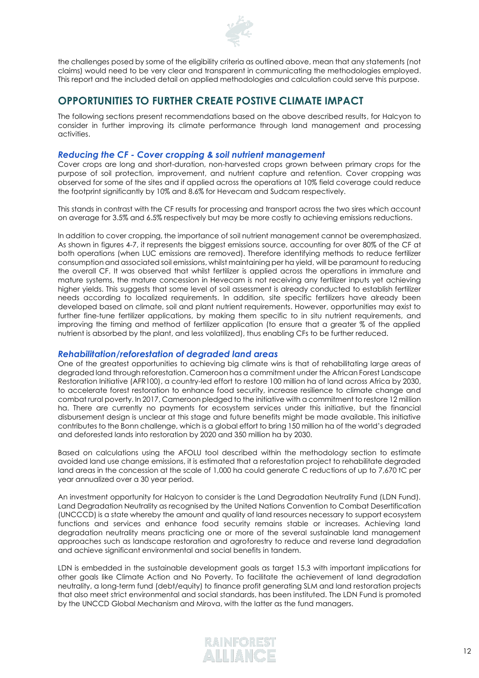

the challenges posed by some of the eligibility criteria as outlined above, mean that any statements (not claims) would need to be very clear and transparent in communicating the methodologies employed. This report and the included detail on applied methodologies and calculation could serve this purpose.

# **OPPORTUNITIES TO FURTHER CREATE POSTIVE CLIMATE IMPACT**

The following sections present recommendations based on the above described results, for Halcyon to consider in further improving its climate performance through land management and processing activities.

### *Reducing the CF - Cover cropping & soil nutrient management*

Cover crops are long and short-duration, non-harvested crops grown between primary crops for the purpose of soil protection, improvement, and nutrient capture and retention. Cover cropping was observed for some of the sites and if applied across the operations at 10% field coverage could reduce the footprint significantly by 10% and 8.6% for Hevecam and Sudcam respectively.

This stands in contrast with the CF results for processing and transport across the two sires which account on average for 3.5% and 6.5% respectively but may be more costly to achieving emissions reductions.

In addition to cover cropping, the importance of soil nutrient management cannot be overemphasized. As shown in figures 4-7, it represents the biggest emissions source, accounting for over 80% of the CF at both operations (when LUC emissions are removed). Therefore identifying methods to reduce fertilizer consumption and associated soil emissions, whilst maintaining per ha yield, will be paramount to reducing the overall CF. It was observed that whilst fertilizer is applied across the operations in immature and mature systems, the mature concession in Hevecam is not receiving any fertilizer inputs yet achieving higher yields. This suggests that some level of soil assessment is already conducted to establish fertilizer needs according to localized requirements. In addition, site specific fertilizers have already been developed based on climate, soil and plant nutrient requirements. However, opportunities may exist to further fine-tune fertilizer applications, by making them specific to in situ nutrient requirements, and improving the timing and method of fertilizer application (to ensure that a greater % of the applied nutrient is absorbed by the plant, and less volatilized), thus enabling CFs to be further reduced.

### *Rehabilitation/reforestation of degraded land areas*

One of the greatest opportunities to achieving big climate wins is that of rehabilitating large areas of degraded land through reforestation. Cameroon has a commitment under the African Forest Landscape Restoration Initiative (AFR100), a country-led effort to restore 100 million ha of land across Africa by 2030, to accelerate forest restoration to enhance food security, increase resilience to climate change and combat rural poverty. In 2017, Cameroon pledged to the initiative with a commitment to restore 12 million ha. There are currently no payments for ecosystem services under this initiative, but the financial disbursement design is unclear at this stage and future benefits might be made available. This initiative contributes to the Bonn challenge, which is a global effort to bring 150 million ha of the world's degraded and deforested lands into restoration by 2020 and 350 million ha by 2030.

Based on calculations using the AFOLU tool described within the methodology section to estimate avoided land use change emissions, it is estimated that a reforestation project to rehabilitate degraded land areas in the concession at the scale of 1,000 ha could generate C reductions of up to 7,670 tC per year annualized over a 30 year period.

An investment opportunity for Halcyon to consider is the Land Degradation Neutrality Fund (LDN Fund). Land Degradation Neutrality as recognised by the United Nations Convention to Combat Desertification (UNCCCD) is a state whereby the amount and quality of land resources necessary to support ecosystem functions and services and enhance food security remains stable or increases. Achieving land degradation neutrality means practicing one or more of the several sustainable land management approaches such as landscape restoration and agroforestry to reduce and reverse land degradation and achieve significant environmental and social benefits in tandem.

LDN is embedded in the sustainable development goals as target 15.3 with important implications for other goals like Climate Action and No Poverty. To facilitate the achievement of land degradation neutrality, a long-term fund (debt/equity) to finance profit generating SLM and land restoration projects that also meet strict environmental and social standards, has been instituted. The LDN Fund is promoted by the UNCCD Global Mechanism and Mirova, with the latter as the fund managers.

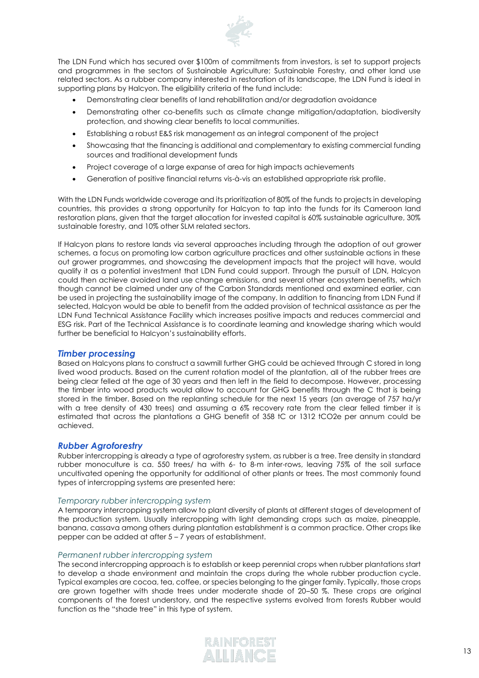

The LDN Fund which has secured over \$100m of commitments from investors, is set to support projects and programmes in the sectors of Sustainable Agriculture; Sustainable Forestry, and other land use related sectors. As a rubber company interested in restoration of its landscape, the LDN Fund is ideal in supporting plans by Halcyon. The eligibility criteria of the fund include:

- Demonstrating clear benefits of land rehabilitation and/or degradation avoidance
- Demonstrating other co-benefits such as climate change mitigation/adaptation, biodiversity protection, and showing clear benefits to local communities.
- Establishing a robust E&S risk management as an integral component of the project
- Showcasing that the financing is additional and complementary to existing commercial funding sources and traditional development funds
- Project coverage of a large expanse of area for high impacts achievements
- Generation of positive financial returns vis-à-vis an established appropriate risk profile.

With the LDN Funds worldwide coverage and its prioritization of 80% of the funds to projects in developing countries, this provides a strong opportunity for Halcyon to tap into the funds for its Cameroon land restoration plans, given that the target allocation for invested capital is 60% sustainable agriculture, 30% sustainable forestry, and 10% other SLM related sectors.

If Halcyon plans to restore lands via several approaches including through the adoption of out grower schemes, a focus on promoting low carbon agriculture practices and other sustainable actions in these out grower programmes, and showcasing the development impacts that the project will have, would qualify it as a potential investment that LDN Fund could support. Through the pursuit of LDN, Halcyon could then achieve avoided land use change emissions, and several other ecosystem benefits, which though cannot be claimed under any of the Carbon Standards mentioned and examined earlier, can be used in projecting the sustainability image of the company. In addition to financing from LDN Fund if selected, Halcyon would be able to benefit from the added provision of technical assistance as per the LDN Fund Technical Assistance Facility which increases positive impacts and reduces commercial and ESG risk. Part of the Technical Assistance is to coordinate learning and knowledge sharing which would further be beneficial to Halcyon's sustainability efforts.

#### *Timber processing*

Based on Halcyons plans to construct a sawmill further GHG could be achieved through C stored in long lived wood products. Based on the current rotation model of the plantation, all of the rubber trees are being clear felled at the age of 30 years and then left in the field to decompose. However, processing the timber into wood products would allow to account for GHG benefits through the C that is being stored in the timber. Based on the replanting schedule for the next 15 years (an average of 757 ha/yr with a tree density of 430 trees) and assuming a 6% recovery rate from the clear felled timber it is estimated that across the plantations a GHG benefit of 358 tC or 1312 tCO2e per annum could be achieved.

#### *Rubber Agroforestry*

Rubber intercropping is already a type of agroforestry system, as rubber is a tree. Tree density in standard rubber monoculture is ca. 550 trees/ ha with 6- to 8-m inter-rows, leaving 75% of the soil surface uncultivated opening the opportunity for additional of other plants or trees. The most commonly found types of intercropping systems are presented here:

#### *Temporary rubber intercropping system*

A temporary intercropping system allow to plant diversity of plants at different stages of development of the production system. Usually intercropping with light demanding crops such as maize, pineapple, banana, cassava among others during plantation establishment is a common practice. Other crops like pepper can be added at after 5 – 7 years of establishment.

#### *Permanent rubber intercropping system*

The second intercropping approach is to establish or keep perennial crops when rubber plantations start to develop a shade environment and maintain the crops during the whole rubber production cycle. Typical examples are cocoa, tea, coffee, or species belonging to the ginger family. Typically, those crops are grown together with shade trees under moderate shade of 20–50 %. These crops are original components of the forest understory, and the respective systems evolved from forests Rubber would function as the "shade tree" in this type of system.

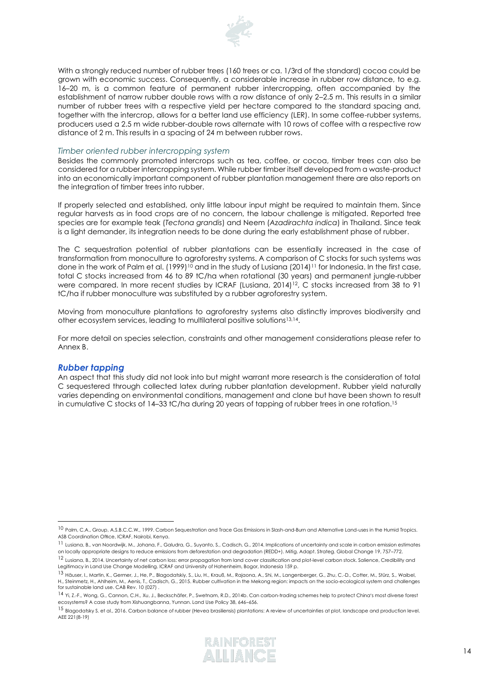

With a strongly reduced number of rubber trees (160 trees or ca. 1/3rd of the standard) cocoa could be grown with economic success. Consequently, a considerable increase in rubber row distance, to e.g. 16–20 m, is a common feature of permanent rubber intercropping, often accompanied by the establishment of narrow rubber double rows with a row distance of only 2–2.5 m. This results in a similar number of rubber trees with a respective yield per hectare compared to the standard spacing and, together with the intercrop, allows for a better land use efficiency (LER). In some coffee-rubber systems, producers used a 2.5 m wide rubber-double rows alternate with 10 rows of coffee with a respective row distance of 2 m. This results in a spacing of 24 m between rubber rows.

#### *Timber oriented rubber intercropping system*

Besides the commonly promoted intercrops such as tea, coffee, or cocoa, timber trees can also be considered for a rubber intercropping system. While rubber timber itself developed from a waste-product into an economically important component of rubber plantation management there are also reports on the integration of timber trees into rubber.

If properly selected and established, only little labour input might be required to maintain them. Since regular harvests as in food crops are of no concern, the labour challenge is mitigated. Reported tree species are for example teak (*Tectona grandis*) and Neem (*Azadirachta indica*) in Thailand. Since teak is a light demander, its integration needs to be done during the early establishment phase of rubber.

The C sequestration potential of rubber plantations can be essentially increased in the case of transformation from monoculture to agroforestry systems. A comparison of C stocks for such systems was done in the work of Palm et al. (1999)<sup>10</sup> and in the study of Lusiana (2014)<sup>11</sup> for Indonesia. In the first case, total C stocks increased from 46 to 89 tC/ha when rotational (30 years) and permanent jungle-rubber were compared. In more recent studies by ICRAF (Lusiana, 2014)<sup>12</sup>, C stocks increased from 38 to 91 tC/ha if rubber monoculture was substituted by a rubber agroforestry system.

Moving from monoculture plantations to agroforestry systems also distinctly improves biodiversity and other ecosystem services, leading to multilateral positive solutions<sup>13,14</sup>.

For more detail on species selection, constraints and other management considerations please refer to Annex B.

#### *Rubber tapping*

An aspect that this study did not look into but might warrant more research is the consideration of total C sequestered through collected latex during rubber plantation development. Rubber yield naturally varies depending on environmental conditions, management and clone but have been shown to result in cumulative C stocks of 14–33 tC/ha during 20 years of tapping of rubber trees in one rotation. 15

<sup>10</sup> Palm, C.A., Group, A.S.B.C.C.W., 1999. Carbon Sequestration and Trace Gas Emissions in Slash-and-Burn and Alternative Land-uses in the Humid Tropics. ASB Coordination Office, ICRAF, Nairobi, Kenya.

<sup>11</sup> Lusiana, B., van Noordwijk, M., Johana, F., Galudra, G., Suyanto, S., Cadisch, G., 2014. Implications of uncertainty and scale in carbon emission estimates on locally appropriate designs to reduce emissions from deforestation and degradation (REDD+). Mitig. Adapt. Strateg. Global Change 19, 757–772.

<sup>12</sup> Lusiana, B., 2014. Uncertainty of net carbon loss: error propagation from land cover classification and plot-level carbon stock. Salience, Credibility and Legitimacy in Land Use Change Modelling. ICRAF and University of Hohenheim, Bogor, Indonesia 159 p.

<sup>&</sup>lt;sup>13</sup> Häuser, I., Martin, K., Germer, J., He, P., Blagodatskiy, S., Liu, H., Krauß, M., Rajaona, A., Shi, M., Langenberger, G., Zhu, C.-D., Cotter, M., Stürz, S., Waibel, H., Steinmetz, H., Ahlheim, M., Aenis, T., Cadisch, G., 2015. Rubber cultivation in the Mekong region: impacts on the socio-ecological system and challenges for sustainable land use. CAB Rev. 10 (027) .

<sup>14</sup> Yi, Z.-F., Wong, G., Cannon, C.H., Xu, J., Beckschäfer, P., Swetnam, R.D., 2014b. Can carbon-trading schemes help to protect China's most diverse forest ecosystems? A case study from Xishuangbanna, Yunnan. Land Use Policy 38, 646–656.

<sup>15</sup> Blagodatsky S. et al., 2016. Carbon balance of rubber (Hevea brasiliensis) plantations: A review of uncertainties at plot, landscape and production level. AEE 221(8-19)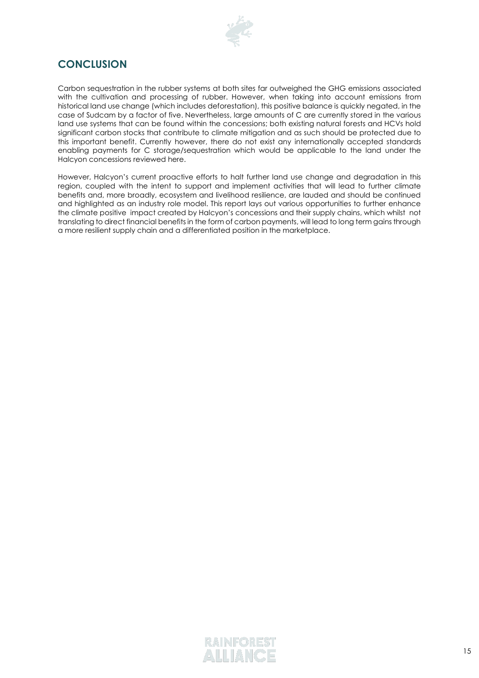

# **CONCLUSION**

Carbon sequestration in the rubber systems at both sites far outweighed the GHG emissions associated with the cultivation and processing of rubber. However, when taking into account emissions from historical land use change (which includes deforestation), this positive balance is quickly negated, in the case of Sudcam by a factor of five. Nevertheless, large amounts of C are currently stored in the various land use systems that can be found within the concessions; both existing natural forests and HCVs hold significant carbon stocks that contribute to climate mitigation and as such should be protected due to this important benefit. Currently however, there do not exist any internationally accepted standards enabling payments for C storage/sequestration which would be applicable to the land under the Halcyon concessions reviewed here.

However, Halcyon's current proactive efforts to halt further land use change and degradation in this region, coupled with the intent to support and implement activities that will lead to further climate benefits and, more broadly, ecosystem and livelihood resilience, are lauded and should be continued and highlighted as an industry role model. This report lays out various opportunities to further enhance the climate positive impact created by Halcyon's concessions and their supply chains, which whilst not translating to direct financial benefits in the form of carbon payments, will lead to long term gains through a more resilient supply chain and a differentiated position in the marketplace.

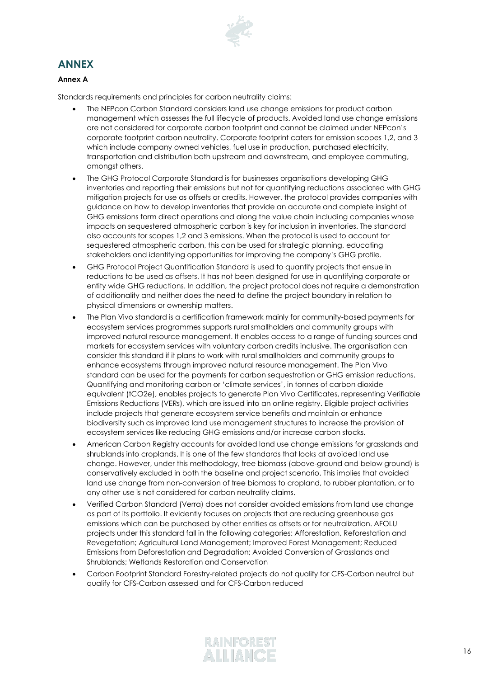

# **ANNEX**

### **Annex A**

Standards requirements and principles for carbon neutrality claims:

- The NEPcon Carbon Standard considers land use change emissions for product carbon management which assesses the full lifecycle of products. Avoided land use change emissions are not considered for corporate carbon footprint and cannot be claimed under NEPcon's corporate footprint carbon neutrality. Corporate footprint caters for emission scopes 1,2, and 3 which include company owned vehicles, fuel use in production, purchased electricity, transportation and distribution both upstream and downstream, and employee commuting, amongst others.
- The GHG Protocol Corporate Standard is for businesses organisations developing GHG inventories and reporting their emissions but not for quantifying reductions associated with GHG mitigation projects for use as offsets or credits. However, the protocol provides companies with guidance on how to develop inventories that provide an accurate and complete insight of GHG emissions form direct operations and along the value chain including companies whose impacts on sequestered atmospheric carbon is key for inclusion in inventories. The standard also accounts for scopes 1,2 and 3 emissions. When the protocol is used to account for sequestered atmospheric carbon, this can be used for strategic planning, educating stakeholders and identifying opportunities for improving the company's GHG profile.
- GHG Protocol Project Quantification Standard is used to quantify projects that ensue in reductions to be used as offsets. It has not been designed for use in quantifying corporate or entity wide GHG reductions. In addition, the project protocol does not require a demonstration of additionality and neither does the need to define the project boundary in relation to physical dimensions or ownership matters.
- The Plan Vivo standard is a certification framework mainly for community-based payments for ecosystem services programmes supports rural smallholders and community groups with improved natural resource management. It enables access to a range of funding sources and markets for ecosystem services with voluntary carbon credits inclusive. The organisation can consider this standard if it plans to work with rural smallholders and community groups to enhance ecosystems through improved natural resource management. The Plan Vivo standard can be used for the payments for carbon sequestration or GHG emission reductions. Quantifying and monitoring carbon or 'climate services', in tonnes of carbon dioxide equivalent (tCO2e), enables projects to generate Plan Vivo Certificates, representing Verifiable Emissions Reductions (VERs), which are issued into an online registry. Eligible project activities include projects that generate ecosystem service benefits and maintain or enhance biodiversity such as improved land use management structures to increase the provision of ecosystem services like reducing GHG emissions and/or increase carbon stocks.
- American Carbon Registry accounts for avoided land use change emissions for grasslands and shrublands into croplands. It is one of the few standards that looks at avoided land use change. However, under this methodology, tree biomass (above-ground and below ground) is conservatively excluded in both the baseline and project scenario. This implies that avoided land use change from non-conversion of tree biomass to cropland, to rubber plantation, or to any other use is not considered for carbon neutrality claims.
- Verified Carbon Standard (Verra) does not consider avoided emissions from land use change as part of its portfolio. It evidently focuses on projects that are reducing greenhouse gas emissions which can be purchased by other entities as offsets or for neutralization. AFOLU projects under this standard fall in the following categories: Afforestation, Reforestation and Revegetation; Agricultural Land Management; Improved Forest Management; Reduced Emissions from Deforestation and Degradation; Avoided Conversion of Grasslands and Shrublands; Wetlands Restoration and Conservation
- Carbon Footprint Standard Forestry-related projects do not qualify for CFS-Carbon neutral but qualify for CFS-Carbon assessed and for CFS-Carbon reduced

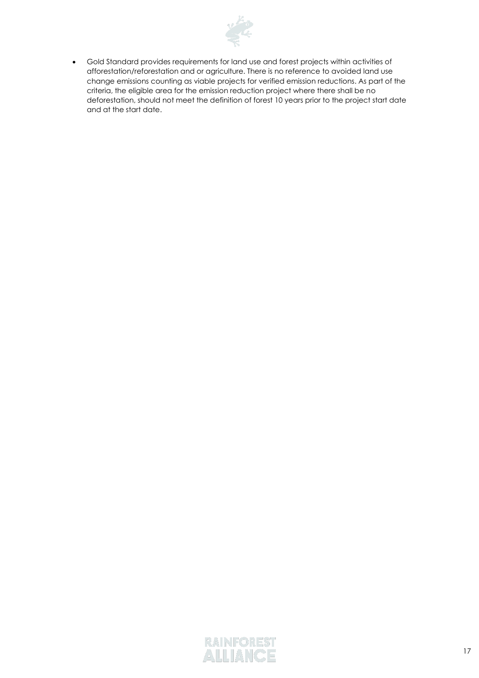

• Gold Standard provides requirements for land use and forest projects within activities of afforestation/reforestation and or agriculture. There is no reference to avoided land use change emissions counting as viable projects for verified emission reductions. As part of the criteria, the eligible area for the emission reduction project where there shall be no deforestation, should not meet the definition of forest 10 years prior to the project start date and at the start date.

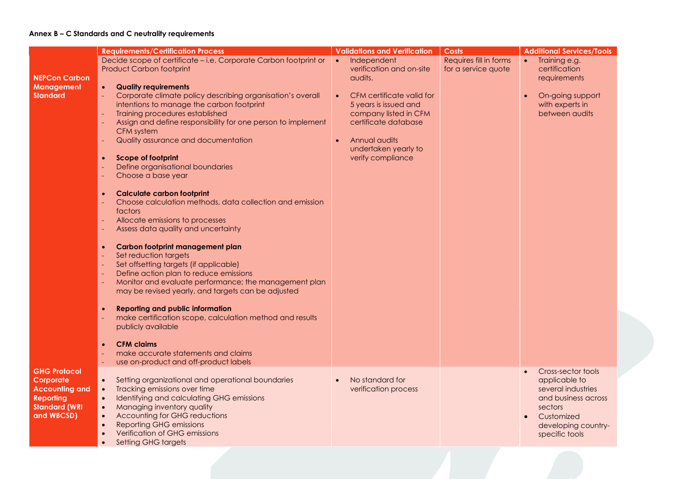### **Annex B – C Standards and C neutrality requirements**

|                       | <b>Requirements/Certification Process</b>                              | <b>Validations and Verification</b> | <b>Costs</b>           | <b>Additional Services/Tools</b> |
|-----------------------|------------------------------------------------------------------------|-------------------------------------|------------------------|----------------------------------|
|                       | Decide scope of certificate - i.e. Corporate Carbon footprint or       | Independent<br>$\bullet$            | Requires fill in forms | Training e.g.<br>$\bullet$       |
|                       | <b>Product Carbon footprint</b>                                        | verification and on-site            | for a service quote    | certification                    |
| <b>NEPCon Carbon</b>  |                                                                        | audits.                             |                        | requirements                     |
| <b>Management</b>     | <b>Quality requirements</b><br>$\bullet$                               |                                     |                        |                                  |
| <b>Standard</b>       | Corporate climate policy describing organisation's overall<br>$\omega$ | CFM certificate valid for           |                        | On-going support                 |
|                       | intentions to manage the carbon footprint                              | 5 years is issued and               |                        | with experts in                  |
|                       | Training procedures established                                        | company listed in CFM               |                        | between audits                   |
|                       | Assign and define responsibility for one person to implement           | certificate database                |                        |                                  |
|                       | CFM system                                                             |                                     |                        |                                  |
|                       | Quality assurance and documentation                                    | Annual audits                       |                        |                                  |
|                       |                                                                        | undertaken yearly to                |                        |                                  |
|                       | <b>Scope of footprint</b><br>$\bullet$                                 | verify compliance                   |                        |                                  |
|                       | Define organisational boundaries                                       |                                     |                        |                                  |
|                       | Choose a base year                                                     |                                     |                        |                                  |
|                       |                                                                        |                                     |                        |                                  |
|                       | <b>Calculate carbon footprint</b><br>$\bullet$                         |                                     |                        |                                  |
|                       | Choose calculation methods, data collection and emission               |                                     |                        |                                  |
|                       | factors                                                                |                                     |                        |                                  |
|                       | Allocate emissions to processes                                        |                                     |                        |                                  |
|                       | Assess data quality and uncertainty                                    |                                     |                        |                                  |
|                       |                                                                        |                                     |                        |                                  |
|                       | Carbon footprint management plan<br>$\bullet$                          |                                     |                        |                                  |
|                       | Set reduction targets                                                  |                                     |                        |                                  |
|                       | Set offsetting targets (if applicable)                                 |                                     |                        |                                  |
|                       | Define action plan to reduce emissions                                 |                                     |                        |                                  |
|                       | Monitor and evaluate performance; the management plan                  |                                     |                        |                                  |
|                       | may be revised yearly, and targets can be adjusted                     |                                     |                        |                                  |
|                       |                                                                        |                                     |                        |                                  |
|                       | <b>Reporting and public information</b>                                |                                     |                        |                                  |
|                       | $\bullet$                                                              |                                     |                        |                                  |
|                       | make certification scope, calculation method and results               |                                     |                        |                                  |
|                       | publicly available                                                     |                                     |                        |                                  |
|                       |                                                                        |                                     |                        |                                  |
|                       | <b>CFM claims</b><br>$\bullet$                                         |                                     |                        |                                  |
|                       | make accurate statements and claims                                    |                                     |                        |                                  |
|                       | use on-product and off-product labels                                  |                                     |                        |                                  |
| <b>GHG Protocol</b>   |                                                                        |                                     |                        | Cross-sector tools<br>$\bullet$  |
| Corporate             | Setting organizational and operational boundaries<br>$\bullet$         | No standard for                     |                        | applicable to                    |
| <b>Accounting and</b> | Tracking emissions over time<br>$\bullet$                              | verification process                |                        | several industries               |
| <b>Reporting</b>      | Identifying and calculating GHG emissions<br>$\bullet$                 |                                     |                        | and business across              |
| <b>Standard (WRI</b>  | Managing inventory quality<br>$\bullet$                                |                                     |                        | sectors                          |
| and WBCSD)            | Accounting for GHG reductions<br>$\bullet$                             |                                     |                        | Customized                       |
|                       | <b>Reporting GHG emissions</b><br>$\bullet$                            |                                     |                        | developing country-              |
|                       | Verification of GHG emissions                                          |                                     |                        | specific tools                   |
|                       | <b>Setting GHG targets</b>                                             |                                     |                        |                                  |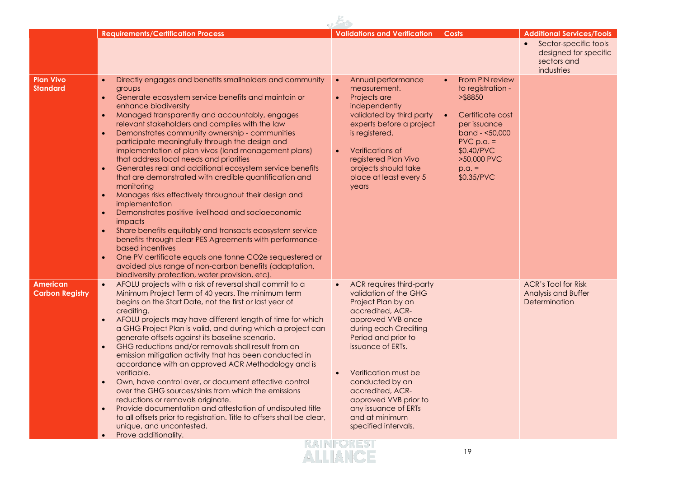|                                           | <b>Requirements/Certification Process</b>                                                                                                                                                                                                                                                                                                                                                                                                                                                                                                                                                                                                                                                                                                                                                                                                                                                                                                                                                                                                                                                                                                                                              | <b>Validations and Verification</b>                                                                                                                                                                                                                                                                                                             | <b>Costs</b>                                                                                                                                                                  | <b>Additional Services/Tools</b>                                            |
|-------------------------------------------|----------------------------------------------------------------------------------------------------------------------------------------------------------------------------------------------------------------------------------------------------------------------------------------------------------------------------------------------------------------------------------------------------------------------------------------------------------------------------------------------------------------------------------------------------------------------------------------------------------------------------------------------------------------------------------------------------------------------------------------------------------------------------------------------------------------------------------------------------------------------------------------------------------------------------------------------------------------------------------------------------------------------------------------------------------------------------------------------------------------------------------------------------------------------------------------|-------------------------------------------------------------------------------------------------------------------------------------------------------------------------------------------------------------------------------------------------------------------------------------------------------------------------------------------------|-------------------------------------------------------------------------------------------------------------------------------------------------------------------------------|-----------------------------------------------------------------------------|
|                                           |                                                                                                                                                                                                                                                                                                                                                                                                                                                                                                                                                                                                                                                                                                                                                                                                                                                                                                                                                                                                                                                                                                                                                                                        |                                                                                                                                                                                                                                                                                                                                                 |                                                                                                                                                                               | Sector-specific tools<br>designed for specific<br>sectors and<br>industries |
| <b>Plan Vivo</b><br><b>Standard</b>       | Directly engages and benefits smallholders and community<br>$\bullet$<br>groups<br>Generate ecosystem service benefits and maintain or<br>$\bullet$<br>enhance biodiversity<br>Managed transparently and accountably, engages<br>$\bullet$<br>relevant stakeholders and complies with the law<br>Demonstrates community ownership - communities<br>$\bullet$<br>participate meaningfully through the design and<br>implementation of plan vivos (land management plans)<br>that address local needs and priorities<br>Generates real and additional ecosystem service benefits<br>$\bullet$<br>that are demonstrated with credible quantification and<br>monitoring<br>Manages risks effectively throughout their design and<br>$\bullet$<br>implementation<br>Demonstrates positive livelihood and socioeconomic<br>$\bullet$<br>impacts<br>Share benefits equitably and transacts ecosystem service<br>$\bullet$<br>benefits through clear PES Agreements with performance-<br>based incentives<br>One PV certificate equals one tonne CO2e sequestered or<br>$\bullet$<br>avoided plus range of non-carbon benefits (adaptation,<br>biodiversity protection, water provision, etc). | Annual performance<br>$\bullet$<br>measurement.<br>Projects are<br>$\bullet$<br>independently<br>validated by third party<br>experts before a project<br>is registered.<br>Verifications of<br>$\bullet$<br>registered Plan Vivo<br>projects should take<br>place at least every 5<br>years                                                     | From PIN review<br>to registration -<br>> \$8850<br>Certificate cost<br>per issuance<br>band - <50,000<br>$PVC$ p.a. =<br>\$0.40/PVC<br>>50,000 PVC<br>$p.a. =$<br>\$0.35/PVC |                                                                             |
| <b>American</b><br><b>Carbon Registry</b> | AFOLU projects with a risk of reversal shall commit to a<br>$\bullet$<br>Minimum Project Term of 40 years. The minimum term<br>begins on the Start Date, not the first or last year of<br>crediting.<br>AFOLU projects may have different length of time for which<br>a GHG Project Plan is valid, and during which a project can<br>generate offsets against its baseline scenario.<br>GHG reductions and/or removals shall result from an<br>$\bullet$<br>emission mitigation activity that has been conducted in<br>accordance with an approved ACR Methodology and is<br>verifiable.<br>Own, have control over, or document effective control<br>$\bullet$<br>over the GHG sources/sinks from which the emissions<br>reductions or removals originate.<br>Provide documentation and attestation of undisputed title<br>$\bullet$<br>to all offsets prior to registration. Title to offsets shall be clear,<br>unique, and uncontested.<br>Prove additionality.<br>$\bullet$                                                                                                                                                                                                        | ACR requires third-party<br>validation of the GHG<br>Project Plan by an<br>accredited, ACR-<br>approved VVB once<br>during each Crediting<br>Period and prior to<br>issuance of ERTs.<br>Verification must be<br>conducted by an<br>accredited, ACR-<br>approved VVB prior to<br>any issuance of ERTs<br>and at minimum<br>specified intervals. |                                                                                                                                                                               | <b>ACR's Tool for Risk</b><br>Analysis and Buffer<br>Determination          |
|                                           |                                                                                                                                                                                                                                                                                                                                                                                                                                                                                                                                                                                                                                                                                                                                                                                                                                                                                                                                                                                                                                                                                                                                                                                        | <b>RAINFOREST</b><br>ALLIANCE                                                                                                                                                                                                                                                                                                                   | 19                                                                                                                                                                            |                                                                             |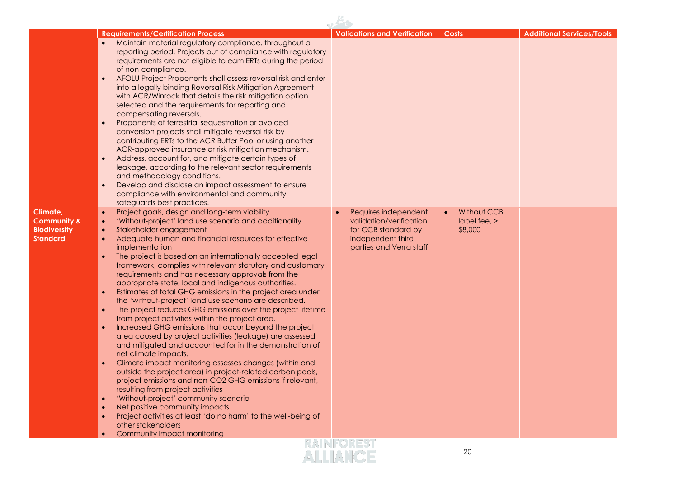|                                                                                                                                                            |                                                                                                                                                                                                                                                                                                                                                                                                                                                                                                                                                                                                                                                                                                                                                                                                                                                                                                                                                                                                                                                                                                                                                                                                                                                                                                                               |                                                                                                                        | Costs                                                          |                                  |
|------------------------------------------------------------------------------------------------------------------------------------------------------------|-------------------------------------------------------------------------------------------------------------------------------------------------------------------------------------------------------------------------------------------------------------------------------------------------------------------------------------------------------------------------------------------------------------------------------------------------------------------------------------------------------------------------------------------------------------------------------------------------------------------------------------------------------------------------------------------------------------------------------------------------------------------------------------------------------------------------------------------------------------------------------------------------------------------------------------------------------------------------------------------------------------------------------------------------------------------------------------------------------------------------------------------------------------------------------------------------------------------------------------------------------------------------------------------------------------------------------|------------------------------------------------------------------------------------------------------------------------|----------------------------------------------------------------|----------------------------------|
| $\bullet$<br>$\bullet$                                                                                                                                     | <b>Requirements/Certification Process</b><br>Maintain material regulatory compliance. throughout a<br>reporting period. Projects out of compliance with regulatory<br>requirements are not eligible to earn ERTs during the period<br>of non-compliance.<br>AFOLU Project Proponents shall assess reversal risk and enter<br>into a legally binding Reversal Risk Mitigation Agreement<br>with ACR/Winrock that details the risk mitigation option<br>selected and the requirements for reporting and<br>compensating reversals.<br>Proponents of terrestrial sequestration or avoided<br>conversion projects shall mitigate reversal risk by<br>contributing ERTs to the ACR Buffer Pool or using another<br>ACR-approved insurance or risk mitigation mechanism.<br>Address, account for, and mitigate certain types of<br>leakage, according to the relevant sector requirements<br>and methodology conditions.<br>Develop and disclose an impact assessment to ensure<br>compliance with environmental and community<br>safeguards best practices.                                                                                                                                                                                                                                                                        | <b>Validations and Verification</b>                                                                                    |                                                                | <b>Additional Services/Tools</b> |
| Climate,<br>$\bullet$<br><b>Community &amp;</b><br>$\bullet$<br><b>Biodiversity</b><br><b>Standard</b><br>$\bullet$<br>$\bullet$<br>$\bullet$<br>$\bullet$ | Project goals, design and long-term viability<br>'Without-project' land use scenario and additionality<br>Stakeholder engagement<br>Adequate human and financial resources for effective<br>implementation<br>The project is based on an internationally accepted legal<br>framework, complies with relevant statutory and customary<br>requirements and has necessary approvals from the<br>appropriate state, local and indigenous authorities.<br>Estimates of total GHG emissions in the project area under<br>the 'without-project' land use scenario are described.<br>The project reduces GHG emissions over the project lifetime<br>from project activities within the project area.<br>Increased GHG emissions that occur beyond the project<br>area caused by project activities (leakage) are assessed<br>and mitigated and accounted for in the demonstration of<br>net climate impacts.<br>Climate impact monitoring assesses changes (within and<br>outside the project area) in project-related carbon pools,<br>project emissions and non-CO2 GHG emissions if relevant,<br>resulting from project activities<br>'Without-project' community scenario<br>Net positive community impacts<br>Project activities at least 'do no harm' to the well-being of<br>other stakeholders<br>Community impact monitoring | Requires independent<br>validation/verification<br>for CCB standard by<br>independent third<br>parties and Verra staff | <b>Without CCB</b><br>$\bullet$<br>$label$ fee, $>$<br>\$8,000 |                                  |
|                                                                                                                                                            |                                                                                                                                                                                                                                                                                                                                                                                                                                                                                                                                                                                                                                                                                                                                                                                                                                                                                                                                                                                                                                                                                                                                                                                                                                                                                                                               | <b>RAINFOREST</b><br>ALLIANCE                                                                                          | 20                                                             |                                  |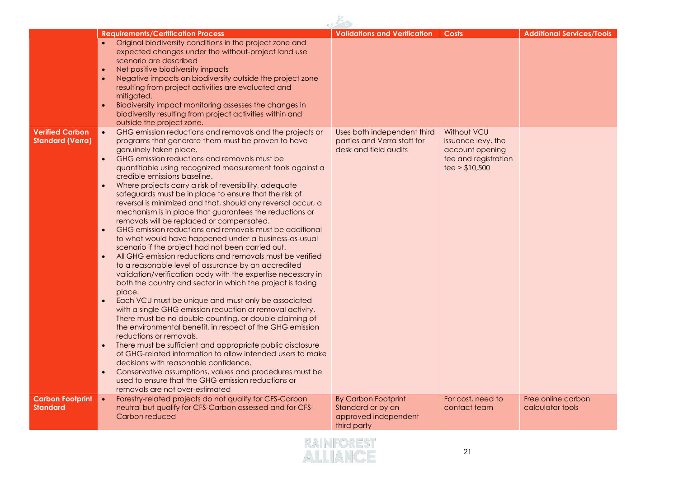| <b>Verified Carbon</b><br><b>Standard (Verra)</b> | <b>Requirements/Certification Process</b><br>Original biodiversity conditions in the project zone and<br>$\bullet$<br>expected changes under the without-project land use<br>scenario are described<br>Net positive biodiversity impacts<br>$\bullet$<br>Negative impacts on biodiversity outside the project zone<br>$\bullet$<br>resulting from project activities are evaluated and<br>mitigated.<br>Biodiversity impact monitoring assesses the changes in<br>$\bullet$<br>biodiversity resulting from project activities within and<br>outside the project zone.<br>GHG emission reductions and removals and the projects or<br>programs that generate them must be proven to have<br>genuinely taken place.<br>GHG emission reductions and removals must be<br>$\bullet$<br>quantifiable using recognized measurement tools against a<br>credible emissions baseline.<br>Where projects carry a risk of reversibility, adequate<br>$\bullet$<br>safeguards must be in place to ensure that the risk of<br>reversal is minimized and that, should any reversal occur, a<br>mechanism is in place that guarantees the reductions or<br>removals will be replaced or compensated.<br>GHG emission reductions and removals must be additional<br>$\bullet$<br>to what would have happened under a business-as-usual<br>scenario if the project had not been carried out.<br>All GHG emission reductions and removals must be verified<br>$\bullet$<br>to a reasonable level of assurance by an accredited<br>validation/verification body with the expertise necessary in<br>both the country and sector in which the project is taking<br>place.<br>Each VCU must be unique and must only be associated<br>$\bullet$<br>with a single GHG emission reduction or removal activity.<br>There must be no double counting, or double claiming of<br>the environmental benefit, in respect of the GHG emission<br>reductions or removals.<br>There must be sufficient and appropriate public disclosure<br>$\bullet$ | <b>Validations and Verification</b><br>Uses both independent third<br>parties and Verra staff for<br>desk and field audits | <b>Costs</b><br>Without VCU<br>issuance levy, the<br>account opening<br>fee and registration<br>fee > \$10,500 | <b>Additional Services/Tools</b> |
|---------------------------------------------------|--------------------------------------------------------------------------------------------------------------------------------------------------------------------------------------------------------------------------------------------------------------------------------------------------------------------------------------------------------------------------------------------------------------------------------------------------------------------------------------------------------------------------------------------------------------------------------------------------------------------------------------------------------------------------------------------------------------------------------------------------------------------------------------------------------------------------------------------------------------------------------------------------------------------------------------------------------------------------------------------------------------------------------------------------------------------------------------------------------------------------------------------------------------------------------------------------------------------------------------------------------------------------------------------------------------------------------------------------------------------------------------------------------------------------------------------------------------------------------------------------------------------------------------------------------------------------------------------------------------------------------------------------------------------------------------------------------------------------------------------------------------------------------------------------------------------------------------------------------------------------------------------------------------------------------------------------------------------------------------------------------------------|----------------------------------------------------------------------------------------------------------------------------|----------------------------------------------------------------------------------------------------------------|----------------------------------|
| <b>Carbon Footprint</b>                           | of GHG-related information to allow intended users to make<br>decisions with reasonable confidence.<br>Conservative assumptions, values and procedures must be<br>used to ensure that the GHG emission reductions or<br>removals are not over-estimated<br>Forestry-related projects do not qualify for CFS-Carbon<br>$\bullet$                                                                                                                                                                                                                                                                                                                                                                                                                                                                                                                                                                                                                                                                                                                                                                                                                                                                                                                                                                                                                                                                                                                                                                                                                                                                                                                                                                                                                                                                                                                                                                                                                                                                                    | <b>By Carbon Footprint</b>                                                                                                 | For cost, need to                                                                                              | Free online carbon               |
| <b>Standard</b>                                   | neutral but qualify for CFS-Carbon assessed and for CFS-<br>Carbon reduced                                                                                                                                                                                                                                                                                                                                                                                                                                                                                                                                                                                                                                                                                                                                                                                                                                                                                                                                                                                                                                                                                                                                                                                                                                                                                                                                                                                                                                                                                                                                                                                                                                                                                                                                                                                                                                                                                                                                         | Standard or by an<br>approved independent<br>third party                                                                   | contact team                                                                                                   | calculator tools                 |

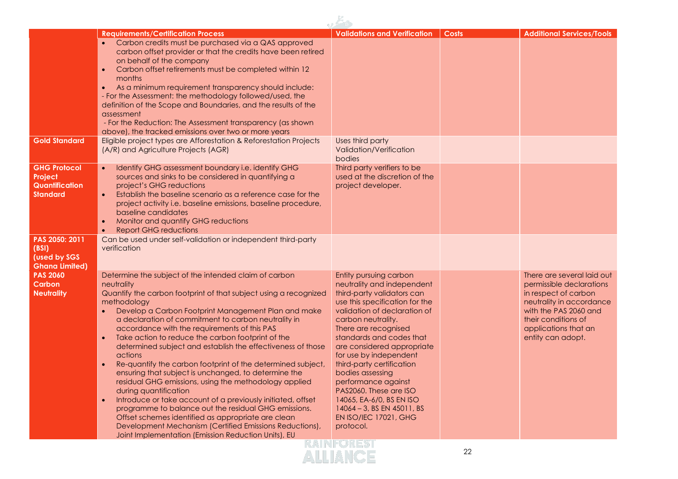|                                                                            | <b>Requirements/Certification Process</b>                                                                                                                                                                                                                                                                                                                                                                                                                                                                                                                                                                                                                                                                                                                                                                                                                                                                                                                                             | <b>Validations and Verification</b>                                                                                                                                                                                                                                                                                                                                                                                                                                                      | <b>Costs</b> | <b>Additional Services/Tools</b>                                                                                                                                                                        |
|----------------------------------------------------------------------------|---------------------------------------------------------------------------------------------------------------------------------------------------------------------------------------------------------------------------------------------------------------------------------------------------------------------------------------------------------------------------------------------------------------------------------------------------------------------------------------------------------------------------------------------------------------------------------------------------------------------------------------------------------------------------------------------------------------------------------------------------------------------------------------------------------------------------------------------------------------------------------------------------------------------------------------------------------------------------------------|------------------------------------------------------------------------------------------------------------------------------------------------------------------------------------------------------------------------------------------------------------------------------------------------------------------------------------------------------------------------------------------------------------------------------------------------------------------------------------------|--------------|---------------------------------------------------------------------------------------------------------------------------------------------------------------------------------------------------------|
|                                                                            | Carbon credits must be purchased via a QAS approved<br>carbon offset provider or that the credits have been retired<br>on behalf of the company<br>Carbon offset retirements must be completed within 12<br>months<br>As a minimum requirement transparency should include:<br>- For the Assessment: the methodology followed/used, the<br>definition of the Scope and Boundaries, and the results of the<br>assessment<br>- For the Reduction: The Assessment transparency (as shown<br>above), the tracked emissions over two or more years                                                                                                                                                                                                                                                                                                                                                                                                                                         |                                                                                                                                                                                                                                                                                                                                                                                                                                                                                          |              |                                                                                                                                                                                                         |
| <b>Gold Standard</b>                                                       | Eligible project types are Afforestation & Reforestation Projects<br>(A/R) and Agriculture Projects (AGR)                                                                                                                                                                                                                                                                                                                                                                                                                                                                                                                                                                                                                                                                                                                                                                                                                                                                             | Uses third party<br>Validation/Verification<br>bodies                                                                                                                                                                                                                                                                                                                                                                                                                                    |              |                                                                                                                                                                                                         |
| <b>GHG Protocol</b><br>Project<br><b>Quantification</b><br><b>Standard</b> | Identify GHG assessment boundary i.e. identify GHG<br>sources and sinks to be considered in quantifying a<br>project's GHG reductions<br>Establish the baseline scenario as a reference case for the<br>project activity i.e. baseline emissions, baseline procedure,<br>baseline candidates<br>Monitor and quantify GHG reductions<br>$\bullet$<br><b>Report GHG reductions</b>                                                                                                                                                                                                                                                                                                                                                                                                                                                                                                                                                                                                      | Third party verifiers to be<br>used at the discretion of the<br>project developer.                                                                                                                                                                                                                                                                                                                                                                                                       |              |                                                                                                                                                                                                         |
| PAS 2050: 2011<br>(BSI)<br>(used by SGS<br><b>Ghana Limited)</b>           | Can be used under self-validation or independent third-party<br>verification                                                                                                                                                                                                                                                                                                                                                                                                                                                                                                                                                                                                                                                                                                                                                                                                                                                                                                          |                                                                                                                                                                                                                                                                                                                                                                                                                                                                                          |              |                                                                                                                                                                                                         |
| <b>PAS 2060</b><br><b>Carbon</b><br><b>Neutrality</b>                      | Determine the subject of the intended claim of carbon<br>neutrality<br>Quantify the carbon footprint of that subject using a recognized<br>methodology<br>Develop a Carbon Footprint Management Plan and make<br>a declaration of commitment to carbon neutrality in<br>accordance with the requirements of this PAS<br>Take action to reduce the carbon footprint of the<br>$\bullet$<br>determined subject and establish the effectiveness of those<br>actions<br>Re-quantify the carbon footprint of the determined subject,<br>ensuring that subject is unchanged, to determine the<br>residual GHG emissions, using the methodology applied<br>during quantification<br>Introduce or take account of a previously initiated, offset<br>$\bullet$<br>programme to balance out the residual GHG emissions.<br>Offset schemes identified as appropriate are clean<br>Development Mechanism (Certified Emissions Reductions),<br>Joint Implementation (Emission Reduction Units), EU | Entity pursuing carbon<br>neutrality and independent<br>third-party validators can<br>use this specification for the<br>validation of declaration of<br>carbon neutrality.<br>There are recognised<br>standards and codes that<br>are considered appropriate<br>for use by independent<br>third-party certification<br>bodies assessing<br>performance against<br>PAS2060. These are ISO<br>14065, EA-6/0, BS EN ISO<br>14064 - 3, BS EN 45011, BS<br>EN ISO/IEC 17021, GHG<br>protocol. |              | There are several laid out<br>permissible declarations<br>in respect of carbon<br>neutrality in accordance<br>with the PAS 2060 and<br>their conditions of<br>applications that an<br>entity can adopt. |
|                                                                            |                                                                                                                                                                                                                                                                                                                                                                                                                                                                                                                                                                                                                                                                                                                                                                                                                                                                                                                                                                                       | <b>KAINFORES</b><br>ALLIANCE                                                                                                                                                                                                                                                                                                                                                                                                                                                             | 22           |                                                                                                                                                                                                         |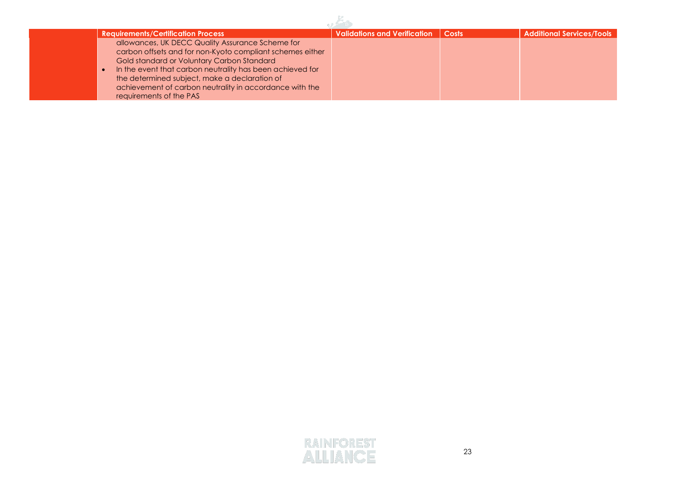| <b>Requirements/Certification Process</b>                                                                                                                                                                                                                                                                                                                       | <b>Validations and Verification</b> | Costs | <b>Additional Services/Tools</b> |
|-----------------------------------------------------------------------------------------------------------------------------------------------------------------------------------------------------------------------------------------------------------------------------------------------------------------------------------------------------------------|-------------------------------------|-------|----------------------------------|
| allowances, UK DECC Quality Assurance Scheme for<br>carbon offsets and for non-Kyoto compliant schemes either<br>Gold standard or Voluntary Carbon Standard<br>In the event that carbon neutrality has been achieved for<br>the determined subject, make a declaration of<br>achievement of carbon neutrality in accordance with the<br>requirements of the PAS |                                     |       |                                  |

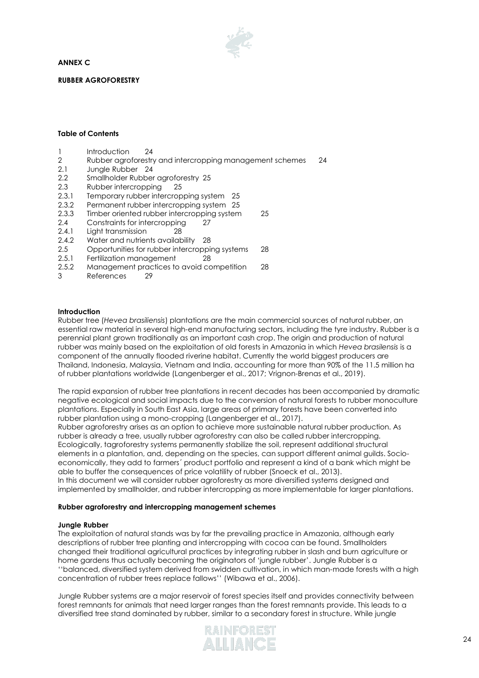**ANNEX C** 



**RUBBER AGROFORESTRY**

#### **Table of Contents**

- 1 [Introduction](#page-23-0) 24
- 2 [Rubber agroforestry and intercropping management schemes](#page-23-1) 24
- 2.1 [Jungle Rubber](#page-23-2) 24
- 2.2 [Smallholder Rubber agroforestry](#page-24-0) 25
- 2.3 [Rubber intercropping](#page-24-1) 25
- 2.3.1 [Temporary rubber intercropping system](#page-24-2) 25
- 2.3.2 [Permanent rubber intercropping system](#page-24-3) 25
- 2.3.3 [Timber oriented rubber intercropping system](#page-24-4) 25
- 2.4 [Constraints for intercropping](#page-26-0) 27
- 2.4.1 [Light transmission](#page-27-0) 28
- 2.4.2 [Water and nutrients availability](#page-27-1) 28
- 2.5 [Opportunities for rubber intercropping systems](#page-27-2) 28
- 2.5.1 [Fertilization management](#page-27-3) 28
- 2.5.2 [Management practices to avoid competition](#page-27-4) 28
- <span id="page-23-0"></span>3 [References](#page-28-0) 29

#### **Introduction**

Rubber tree (*Hevea brasiliensis*) plantations are the main commercial sources of natural rubber, an essential raw material in several high-end manufacturing sectors, including the tyre industry. Rubber is a perennial plant grown traditionally as an important cash crop. The origin and production of natural rubber was mainly based on the exploitation of old forests in Amazonia in which *Hevea brasilensis* is a component of the annually flooded riverine habitat. Currently the world biggest producers are Thailand, Indonesia, Malaysia, Vietnam and India, accounting for more than 90% of the 11.5 million ha of rubber plantations worldwide (Langenberger et al., 2017; Vrignon-Brenas et al., 2019).

The rapid expansion of rubber tree plantations in recent decades has been accompanied by dramatic negative ecological and social impacts due to the conversion of natural forests to rubber monoculture plantations. Especially in South East Asia, large areas of primary forests have been converted into rubber plantation using a mono-cropping (Langenberger et al., 2017).

Rubber agroforestry arises as an option to achieve more sustainable natural rubber production. As rubber is already a tree, usually rubber agroforestry can also be called rubber intercropping. Ecologically, tagroforestry systems permanently stabilize the soil, represent additional structural elements in a plantation, and, depending on the species, can support different animal guilds. Socioeconomically, they add to farmers´ product portfolio and represent a kind of a bank which might be able to buffer the consequences of price volatility of rubber (Snoeck et al., 2013). In this document we will consider rubber agroforestry as more diversified systems designed and

# implemented by smallholder, and rubber intercropping as more implementable for larger plantations.

### <span id="page-23-2"></span><span id="page-23-1"></span>**Rubber agroforestry and intercropping management schemes**

#### **Jungle Rubber**

The exploitation of natural stands was by far the prevailing practice in Amazonia, although early descriptions of rubber tree planting and intercropping with cocoa can be found. Smallholders changed their traditional agricultural practices by integrating rubber in slash and burn agriculture or home gardens thus actually becoming the originators of 'jungle rubber'. Jungle Rubber is a ''balanced, diversified system derived from swidden cultivation, in which man-made forests with a high concentration of rubber trees replace fallows'' (Wibawa et al., 2006).

Jungle Rubber systems are a major reservoir of forest species itself and provides connectivity between forest remnants for animals that need larger ranges than the forest remnants provide. This leads to a diversified tree stand dominated by rubber, similar to a secondary forest in structure. While jungle

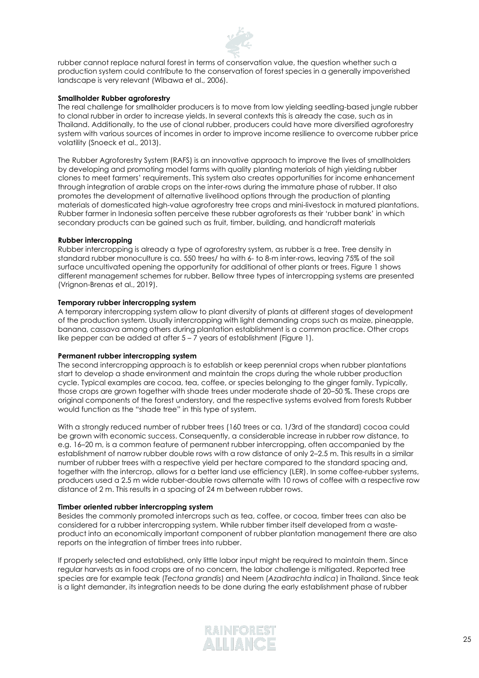

rubber cannot replace natural forest in terms of conservation value, the question whether such a production system could contribute to the conservation of forest species in a generally impoverished landscape is very relevant (Wibawa et al., 2006).

#### <span id="page-24-0"></span>**Smallholder Rubber agroforestry**

The real challenge for smallholder producers is to move from low yielding seedling-based jungle rubber to clonal rubber in order to increase yields. In several contexts this is already the case, such as in Thailand. Additionally, to the use of clonal rubber, producers could have more diversified agroforestry system with various sources of incomes in order to improve income resilience to overcome rubber price volatility (Snoeck et al., 2013).

The Rubber Agroforestry System (RAFS) is an innovative approach to improve the lives of smallholders by developing and promoting model farms with quality planting materials of high yielding rubber clones to meet farmers' requirements. This system also creates opportunities for income enhancement through integration of arable crops on the inter-rows during the immature phase of rubber. It also promotes the development of alternative livelihood options through the production of planting materials of domesticated high-value agroforestry tree crops and mini-livestock in matured plantations. Rubber farmer in Indonesia soften perceive these rubber agroforests as their 'rubber bank' in which secondary products can be gained such as fruit, timber, building, and handicraft materials

#### <span id="page-24-1"></span>**Rubber intercropping**

Rubber intercropping is already a type of agroforestry system, as rubber is a tree. Tree density in standard rubber monoculture is ca. 550 trees/ ha with 6- to 8-m inter-rows, leaving 75% of the soil surface uncultivated opening the opportunity for additional of other plants or trees. Figure 1 shows different management schemes for rubber. Bellow three types of intercropping systems are presented (Vrignon-Brenas et al., 2019).

#### <span id="page-24-2"></span>**Temporary rubber intercropping system**

A temporary intercropping system allow to plant diversity of plants at different stages of development of the production system. Usually intercropping with light demanding crops such as maize, pineapple, banana, cassava among others during plantation establishment is a common practice. Other crops like pepper can be added at after 5 – 7 years of establishment (Figure 1).

#### <span id="page-24-3"></span>**Permanent rubber intercropping system**

The second intercropping approach is to establish or keep perennial crops when rubber plantations start to develop a shade environment and maintain the crops during the whole rubber production cycle. Typical examples are cocoa, tea, coffee, or species belonging to the ginger family. Typically, those crops are grown together with shade trees under moderate shade of 20–50 %. These crops are original components of the forest understory, and the respective systems evolved from forests Rubber would function as the "shade tree" in this type of system.

With a strongly reduced number of rubber trees (160 trees or ca. 1/3rd of the standard) cocoa could be grown with economic success. Consequently, a considerable increase in rubber row distance, to e.g. 16–20 m, is a common feature of permanent rubber intercropping, often accompanied by the establishment of narrow rubber double rows with a row distance of only 2–2.5 m. This results in a similar number of rubber trees with a respective yield per hectare compared to the standard spacing and, together with the intercrop, allows for a better land use efficiency (LER). In some coffee-rubber systems, producers used a 2.5 m wide rubber-double rows alternate with 10 rows of coffee with a respective row distance of 2 m. This results in a spacing of 24 m between rubber rows.

#### <span id="page-24-4"></span>**Timber oriented rubber intercropping system**

Besides the commonly promoted intercrops such as tea, coffee, or cocoa, timber trees can also be considered for a rubber intercropping system. While rubber timber itself developed from a wasteproduct into an economically important component of rubber plantation management there are also reports on the integration of timber trees into rubber.

If properly selected and established, only little labor input might be required to maintain them. Since regular harvests as in food crops are of no concern, the labor challenge is mitigated. Reported tree species are for example teak (*Tectona grandis*) and Neem (*Azadirachta indica*) in Thailand. Since teak is a light demander, its integration needs to be done during the early establishment phase of rubber

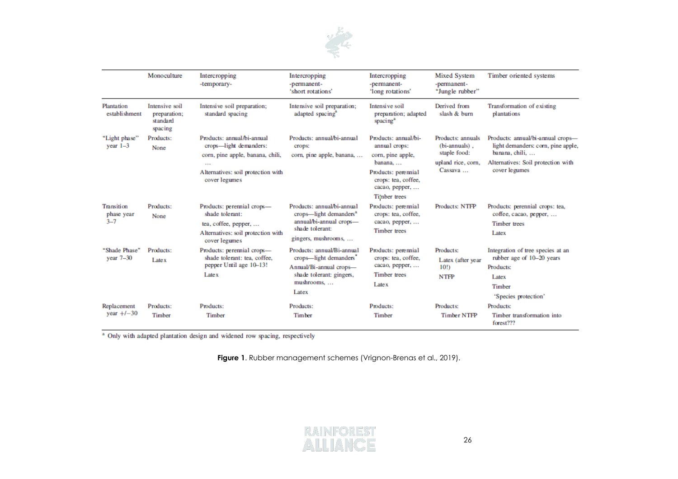

|                                     | Monoculture                                           | Intercropping<br>-temporary-                                                                                                                                | Intercropping<br>-permanent-<br>'short rotations'                                                                                     | Intercropping<br>-permanent-<br>'long rotations'                                                                                                      | <b>Mixed System</b><br>-permanent-<br>"Jungle rubber"                               | Timber oriented systems                                                                                                                          |
|-------------------------------------|-------------------------------------------------------|-------------------------------------------------------------------------------------------------------------------------------------------------------------|---------------------------------------------------------------------------------------------------------------------------------------|-------------------------------------------------------------------------------------------------------------------------------------------------------|-------------------------------------------------------------------------------------|--------------------------------------------------------------------------------------------------------------------------------------------------|
| Plantation<br>establishment         | Intensive soil<br>preparation:<br>standard<br>spacing | Intensive soil preparation;<br>standard spacing                                                                                                             | Intensive soil preparation;<br>adapted spacing <sup>a</sup>                                                                           | Intensive soil<br>preparation; adapted<br>spacing <sup>a</sup>                                                                                        | Derived from<br>slash & burn                                                        | Transformation of existing<br>plantations                                                                                                        |
| "Light phase"<br>year $1-3$         | Products:<br>None                                     | Products: annual/bi-annual<br>crops—light demanders:<br>corn, pine apple, banana, chili,<br>$\cdots$<br>Alternatives: soil protection with<br>cover legumes | Products: annual/bi-annual<br>crops:<br>corn, pine apple, banana,                                                                     | Products: annual/bi-<br>annual crops:<br>corn, pine apple,<br>banana,<br>Products: perennial<br>crops: tea, coffee,<br>cacao, pepper,<br>Timber trees | Products: annuals<br>(bi-annuals).<br>staple food:<br>upland rice, corn,<br>Cassava | Products: annual/bi-annual crops-<br>light demanders: corn, pine apple,<br>banana, chili,<br>Alternatives: Soil protection with<br>cover legumes |
| Transition<br>phase year<br>$3 - 7$ | Products:<br>None                                     | Products: perennial crops-<br>shade tolerant:<br>tea, coffee, pepper,<br>Alternatives: soil protection with<br>cover legumes                                | Products: annual/bi-annual<br>crops—light demanders <sup>a</sup><br>annual/bi-annual crops-<br>shade tolerant:<br>gingers, mushrooms, | Products: perennial<br>crops: tea, coffee,<br>cacao, pepper,<br><b>Timber</b> trees                                                                   | Products: NTFP                                                                      | Products: perennial crops: tea,<br>coffee, cacao, pepper,<br><b>Timber trees</b><br>Latex                                                        |
| "Shade Phase"<br>year $7-30$        | Products:<br>Latex                                    | Products: perennial crops-<br>shade tolerant: tea, coffee,<br>pepper Until age 10-13!<br>$L$ ate $\bar{x}$                                                  | Products: annual/Bi-annual<br>crops—light demanders'<br>Annual/Bi-annual crops-<br>shade tolerant: gingers,<br>mushrooms<br>Latex     | Products: perennial<br>crops: tea, coffee,<br>cacao, pepper,<br><b>Timber</b> trees<br>Latex                                                          | Products:<br>Latex (after year<br>10!)<br><b>NTFP</b>                               | Integration of tree species at an<br>rubber age of 10-20 years<br>Products:<br>Latex<br>Timber<br>'Species protection'                           |
| Replacement<br>year $+/-30$         | Products:<br>Timber                                   | Products:<br>Timber                                                                                                                                         | Products:<br><b>Timber</b>                                                                                                            | Products:<br>Timber                                                                                                                                   | Products:<br><b>Timber NTFP</b>                                                     | Products:<br>Timber transformation into<br>forest???                                                                                             |

<sup>a</sup> Only with adapted plantation design and widened row spacing, respectively

**Figure 1**. Rubber management schemes (Vrignon-Brenas et al., 2019).

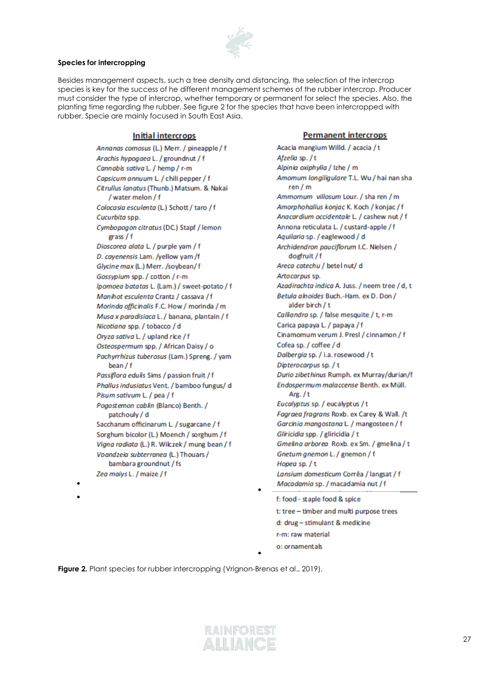

#### <span id="page-26-0"></span>**Species for intercropping**

•

•

Besides management aspects, such a tree density and distancing, the selection of the intercrop species is key for the success of he different management schemes of the rubber intercrop. Producer must consider the type of intercrop, whether temporary or permanent for select the species. Also, the planting time regarding the rubber. See figure 2 for the species that have been intercropped with rubber. Specie are mainly focused in South East Asia.

#### **Initial intercrops**

Annanas comosus (L.) Merr. / pineapple/f Arachis hypogaea L. / groundnut / f Cannabis sativa L. / hemp / r-m Capsicum annuum L. / chili pepper / f Citrullus lanatus (Thunb.) Matsum, & Nakai /water melon / f Colocasia esculenta (L.) Schott / taro / f Cucurbita spp. Cymbopogon citratus (DC.) Stapf / lemon grass / f Dioscorea alata L. / purple yam / f D. cayenensis Lam. /yellow yam /f Glycine max (L.) Merr. /soybean/f Gossypium spp./cotton/r-m Ipomoea batatas L. (Lam.) / sweet-potato / f Manihot esculenta Crantz / cassava / f Morinda officinalis F.C. How / morinda / m Musa x paradisiaca L. / banana, plantain / f Nicotiana spp. / tobacco / d Oryza sativa L. / upland rice / f Osteospermum spp. / African Daisy / o Pachyrrhizus tuberosus (Lam.) Spreng. / yam bean / f Passiflora edulis Sims / passion fruit / f Phallus indusiatus Vent. / bamboo fungus/ d Pisum sativum L. / pea / f Pogostemon cablin (Blanco) Benth. / patchouly / d Saccharum officinarum L. / sugarcane / f Sorghum bicolor (L.) Moench / sorghum / f Vigna radiata (L.) R. Wilczek / mung bean / f Voandzeia subterranea (L.) Thouars / bambara groundnut / fs Zea maiys L. / maize / f

#### **Permanent intercrops**

Acacia mangium Willd. / acacia / t Afzelia sp./t Alpinia oxiphylla / Izhe / m Amomum longiligulare T.L. Wu / hai nan sha  $ren/m$ Ammomum villosum Lour. / sha ren / m Amorphohallus konjac K. Koch / konjac / f Anacardium occidentale L. / cashew nut / f Annona reticulata L. / custard-apple / f Aquilaria sp. / eaglewood / d Archidendron pauciflorum I.C. Nielsen / dogfruit / f Areca catechu / betel nut/ d Artocarpus sp. Azadirachta indica A. Juss. / neem tree / d, t Betula alnoides Buch.-Ham. ex D. Don / alder birch / t Calliandra sp. / false mesquite / t, r-m Carica papaya L. / papaya / f Cinamomum verum J. Presl / cinnamon / f Cofea sp. / coffee / d Dalbergia sp. / i.a. rosewood / t Dipterocarpus sp. / t Durio zibethinus Rumph. ex Murray/durian/f Endospermum malaccense Benth. ex Müll. Arg.  $/t$ Eucalyptus sp. / eucalyptus / t Fagraea fragrans Roxb. ex Carey & Wall. /t Garcinia mangostana L. / mangosteen / f Gliricidia spp. / gliricidia / t Gmelina arborea Roxb. ex Sm. / gmelina / t Gnetum gnemon L. / gnemon / f Hopea sp./t Lansium domesticum Corrêa / langsat / f Macadamia sp. / macadamia nut / f f: food - staple food & spice t: tree - timber and multi purpose trees d: drug - stimulant & medicine r-m: raw material

o: ornamentals

•

•

**Figure 2.** Plant species for rubber intercropping (Vrignon-Brenas et al., 2019).

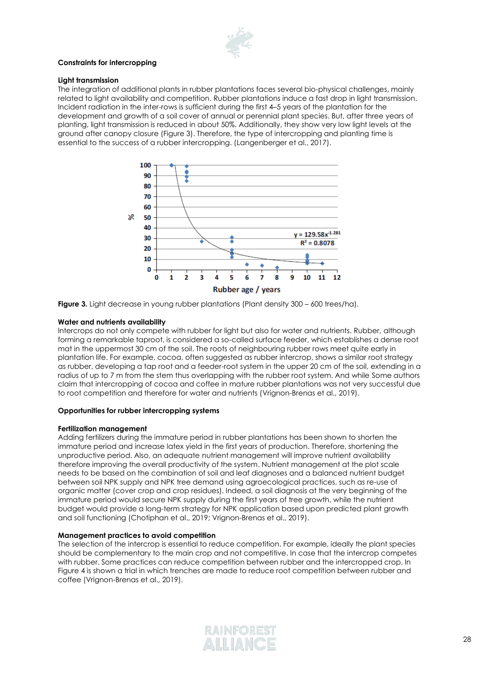

#### **Constraints for intercropping**

#### <span id="page-27-0"></span>**Light transmission**

The integration of additional plants in rubber plantations faces several bio-physical challenges, mainly related to light availability and competition. Rubber plantations induce a fast drop in light transmission. Incident radiation in the inter-rows is sufficient during the first 4–5 years of the plantation for the development and growth of a soil cover of annual or perennial plant species. But, after three years of planting, light transmission is reduced in about 50%. Additionally, they show very low light levels at the ground after canopy closure (Figure 3). Therefore, the type of intercropping and planting time is essential to the success of a rubber intercropping. (Langenberger et al., 2017).



**Figure 3.** Light decrease in young rubber plantations (Plant density 300 – 600 trees/ha).

#### <span id="page-27-1"></span>**Water and nutrients availability**

Intercrops do not only compete with rubber for light but also for water and nutrients. Rubber, although forming a remarkable taproot, is considered a so-called surface feeder, which establishes a dense root mat in the uppermost 30 cm of the soil. The roots of neighbouring rubber rows meet quite early in plantation life. For example, cocoa, often suggested as rubber intercrop, shows a similar root strategy as rubber, developing a tap root and a feeder-root system in the upper 20 cm of the soil, extending in a radius of up to 7 m from the stem thus overlapping with the rubber root system. And while Some authors claim that intercropping of cocoa and coffee in mature rubber plantations was not very successful due to root competition and therefore for water and nutrients (Vrignon-Brenas et al., 2019).

#### <span id="page-27-3"></span><span id="page-27-2"></span>**Opportunities for rubber intercropping systems**

#### **Fertilization management**

Adding fertilizers during the immature period in rubber plantations has been shown to shorten the immature period and increase latex yield in the first years of production. Therefore, shortening the unproductive period. Also, an adequate nutrient management will improve nutrient availability therefore improving the overall productivity of the system. Nutrient management at the plot scale needs to be based on the combination of soil and leaf diagnoses and a balanced nutrient budget between soil NPK supply and NPK tree demand using agroecological practices, such as re-use of organic matter (cover crop and crop residues). Indeed, a soil diagnosis at the very beginning of the immature period would secure NPK supply during the first years of tree growth, while the nutrient budget would provide a long-term strategy for NPK application based upon predicted plant growth and soil functioning (Chotiphan et al., 2019; Vrignon-Brenas et al., 2019).

#### <span id="page-27-4"></span>**Management practices to avoid competition**

The selection of the intercrop is essential to reduce competition. For example, ideally the plant species should be complementary to the main crop and not competitive. In case that the intercrop competes with rubber. Some practices can reduce competition between rubber and the intercropped crop. In Figure 4 is shown a trial in which trenches are made to reduce root competition between rubber and coffee (Vrignon-Brenas et al., 2019).